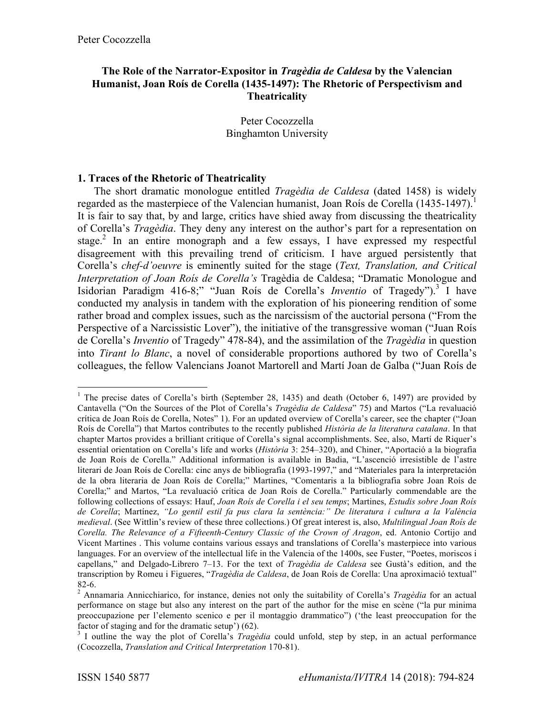# **The Role of the Narrator-Expositor in** *Tragèdia de Caldesa* **by the Valencian Humanist, Joan Roís de Corella (1435-1497): The Rhetoric of Perspectivism and Theatricality**

Peter Cocozzella Binghamton University

#### **1. Traces of the Rhetoric of Theatricality**

The short dramatic monologue entitled *Tragèdia de Caldesa* (dated 1458) is widely regarded as the masterpiece of the Valencian humanist, Joan Roís de Corella  $(1435-1497)^{1}$ . It is fair to say that, by and large, critics have shied away from discussing the theatricality of Corella's *Tragèdia*. They deny any interest on the author's part for a representation on stage.<sup>2</sup> In an entire monograph and a few essays, I have expressed my respectful disagreement with this prevailing trend of criticism. I have argued persistently that Corella's *chef-d'oeuvre* is eminently suited for the stage (*Text, Translation, and Critical Interpretation of Joan Roís de Corella's* Tragèdia de Caldesa; "Dramatic Monologue and Isidorian Paradigm 416-8;" "Juan Roís de Corella's *Inventio* of Tragedy").3 I have conducted my analysis in tandem with the exploration of his pioneering rendition of some rather broad and complex issues, such as the narcissism of the auctorial persona ("From the Perspective of a Narcissistic Lover"), the initiative of the transgressive woman ("Juan Roís de Corella's *Inventio* of Tragedy" 478-84), and the assimilation of the *Tragèdia* in question into *Tirant lo Blanc*, a novel of considerable proportions authored by two of Corella's colleagues, the fellow Valencians Joanot Martorell and Martí Joan de Galba ("Juan Roís de

<sup>&</sup>lt;sup>1</sup> The precise dates of Corella's birth (September 28, 1435) and death (October 6, 1497) are provided by Cantavella ("On the Sources of the Plot of Corella's *Tragèdia de Caldesa*" 75) and Martos ("La revaluació crítica de Joan Roís de Corella, Notes" 1). For an updated overview of Corella's career, see the chapter ("Joan Roís de Corella") that Martos contributes to the recently published *Història de la literatura catalana*. In that chapter Martos provides a brilliant critique of Corella's signal accomplishments. See, also, Martí de Riquer's essential orientation on Corella's life and works (*Història* 3: 254–320), and Chiner, "Aportació a la biografia de Joan Roís de Corella." Additional information is available in Badia, "L'ascenció irresistible de l'astre literari de Joan Roís de Corella: cinc anys de bibliografía (1993-1997," and "Materiales para la interpretación de la obra literaria de Joan Roís de Corella;" Martines, "Comentaris a la bibliografia sobre Joan Roís de Corella;" and Martos, "La revaluació crítica de Joan Roís de Corella." Particularly commendable are the following collections of essays: Hauf, *Joan Roís de Corella i el seu temps*; Martines, *Estudis sobre Joan Roís de Corella*; Martínez, *"Lo gentil estil fa pus clara la sentència:" De literatura i cultura a la València medieval*. (See Wittlin's review of these three collections.) Of great interest is, also, *Multilingual Joan Roís de Corella. The Relevance of a Fifteenth-Century Classic of the Crown of Aragon*, ed. Antonio Cortijo and Vicent Martines . This volume contains various essays and translations of Corella's masterpiece into various languages. For an overview of the intellectual life in the Valencia of the 1400s, see Fuster, "Poetes, moriscos i capellans," and Delgado-Librero 7–13. For the text of *Tragèdia de Caldesa* see Gustà's edition, and the transcription by Romeu i Figueres, "*Tragèdia de Caldesa*, de Joan Roís de Corella: Una aproximació textual"

<sup>82-6.</sup> <sup>2</sup> Annamaria Annicchiarico, for instance, denies not only the suitability of Corella's *Tragèdia* for an actual performance on stage but also any interest on the part of the author for the mise en scène ("la pur minima preoccupazione per l'elemento scenico e per il montaggio drammatico") ('the least preoccupation for the factor of staging and for the dramatic setup') (62).

<sup>&</sup>lt;sup>3</sup> I outline the way the plot of Corella's *Tragèdia* could unfold, step by step, in an actual performance (Cocozzella, *Translation and Critical Interpretation* 170-81).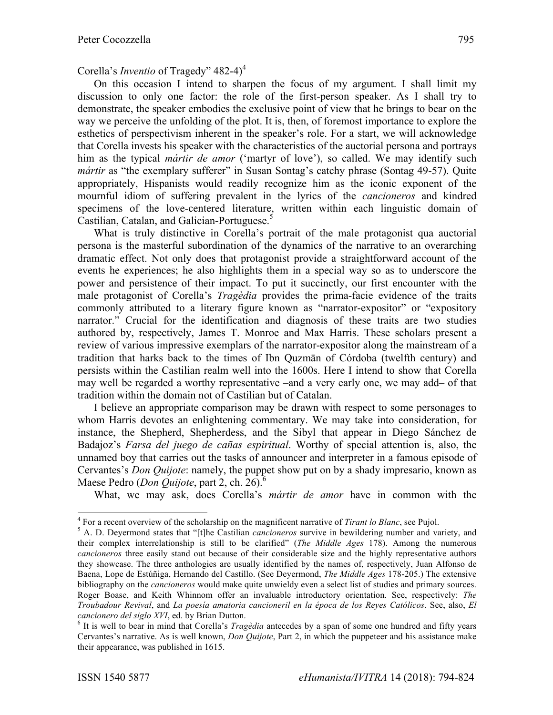On this occasion I intend to sharpen the focus of my argument. I shall limit my discussion to only one factor: the role of the first-person speaker. As I shall try to demonstrate, the speaker embodies the exclusive point of view that he brings to bear on the way we perceive the unfolding of the plot. It is, then, of foremost importance to explore the esthetics of perspectivism inherent in the speaker's role. For a start, we will acknowledge that Corella invests his speaker with the characteristics of the auctorial persona and portrays him as the typical *mártir de amor* ('martyr of love'), so called. We may identify such *mártir* as "the exemplary sufferer" in Susan Sontag's catchy phrase (Sontag 49-57). Quite appropriately, Hispanists would readily recognize him as the iconic exponent of the mournful idiom of suffering prevalent in the lyrics of the *cancioneros* and kindred specimens of the love-centered literature, written within each linguistic domain of Castilian, Catalan, and Galician-Portuguese.<sup>5</sup>

What is truly distinctive in Corella's portrait of the male protagonist qua auctorial persona is the masterful subordination of the dynamics of the narrative to an overarching dramatic effect. Not only does that protagonist provide a straightforward account of the events he experiences; he also highlights them in a special way so as to underscore the power and persistence of their impact. To put it succinctly, our first encounter with the male protagonist of Corella's *Tragèdia* provides the prima-facie evidence of the traits commonly attributed to a literary figure known as "narrator-expositor" or "expository narrator." Crucial for the identification and diagnosis of these traits are two studies authored by, respectively, James T. Monroe and Max Harris. These scholars present a review of various impressive exemplars of the narrator-expositor along the mainstream of a tradition that harks back to the times of Ibn Quzmān of Córdoba (twelfth century) and persists within the Castilian realm well into the 1600s. Here I intend to show that Corella may well be regarded a worthy representative –and a very early one, we may add– of that tradition within the domain not of Castilian but of Catalan.

I believe an appropriate comparison may be drawn with respect to some personages to whom Harris devotes an enlightening commentary. We may take into consideration, for instance, the Shepherd, Shepherdess, and the Sibyl that appear in Diego Sánchez de Badajoz's *Farsa del juego de cañas espiritual*. Worthy of special attention is, also, the unnamed boy that carries out the tasks of announcer and interpreter in a famous episode of Cervantes's *Don Quijote*: namely, the puppet show put on by a shady impresario, known as Maese Pedro (*Don Quijote*, part 2, ch. 26).<sup>6</sup>

What, we may ask, does Corella's *mártir de amor* have in common with the

<sup>&</sup>lt;sup>4</sup> For a recent overview of the scholarship on the magnificent narrative of *Tirant lo Blanc*, see Pujol.<br><sup>5</sup> A. D. Deyermond states that "[t]he Castilian *cancioneros* survive in bewildering number and variety, and

their complex interrelationship is still to be clarified" (*The Middle Ages* 178). Among the numerous *cancioneros* three easily stand out because of their considerable size and the highly representative authors they showcase. The three anthologies are usually identified by the names of, respectively, Juan Alfonso de Baena, Lope de Estúñiga, Hernando del Castillo. (See Deyermond, *The Middle Ages* 178-205.) The extensive bibliography on the *cancioneros* would make quite unwieldy even a select list of studies and primary sources. Roger Boase, and Keith Whinnom offer an invaluable introductory orientation. See, respectively: *The Troubadour Revival*, and *La poesía amatoria cancioneril en la época de los Reyes Católicos*. See, also, *El cancionero del siglo XVI*, ed. by Brian Dutton.<br><sup>6</sup> It is well to bear in mind that Corella's *Tragèdia* antecedes by a span of some one hundred and fifty years

Cervantes's narrative. As is well known, *Don Quijote*, Part 2, in which the puppeteer and his assistance make their appearance, was published in 1615.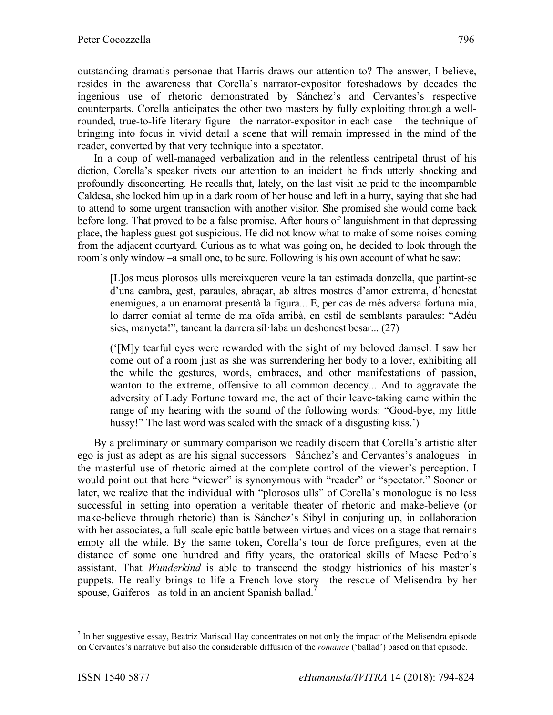outstanding dramatis personae that Harris draws our attention to? The answer, I believe, resides in the awareness that Corella's narrator-expositor foreshadows by decades the ingenious use of rhetoric demonstrated by Sánchez's and Cervantes's respective counterparts. Corella anticipates the other two masters by fully exploiting through a wellrounded, true-to-life literary figure –the narrator-expositor in each case– the technique of bringing into focus in vivid detail a scene that will remain impressed in the mind of the reader, converted by that very technique into a spectator.

In a coup of well-managed verbalization and in the relentless centripetal thrust of his diction, Corella's speaker rivets our attention to an incident he finds utterly shocking and profoundly disconcerting. He recalls that, lately, on the last visit he paid to the incomparable Caldesa, she locked him up in a dark room of her house and left in a hurry, saying that she had to attend to some urgent transaction with another visitor. She promised she would come back before long. That proved to be a false promise. After hours of languishment in that depressing place, the hapless guest got suspicious. He did not know what to make of some noises coming from the adjacent courtyard. Curious as to what was going on, he decided to look through the room's only window –a small one, to be sure. Following is his own account of what he saw:

[L]os meus plorosos ulls mereixqueren veure la tan estimada donzella, que partint-se d'una cambra, gest, paraules, abraçar, ab altres mostres d'amor extrema, d'honestat enemigues, a un enamorat presentà la figura... E, per cas de més adversa fortuna mia, lo darrer comiat al terme de ma oïda arribà, en estil de semblants paraules: "Adéu sies, manyeta!", tancant la darrera síl·laba un deshonest besar... (27)

('[M]y tearful eyes were rewarded with the sight of my beloved damsel. I saw her come out of a room just as she was surrendering her body to a lover, exhibiting all the while the gestures, words, embraces, and other manifestations of passion, wanton to the extreme, offensive to all common decency... And to aggravate the adversity of Lady Fortune toward me, the act of their leave-taking came within the range of my hearing with the sound of the following words: "Good-bye, my little hussy!" The last word was sealed with the smack of a disgusting kiss.')

By a preliminary or summary comparison we readily discern that Corella's artistic alter ego is just as adept as are his signal successors –Sánchez's and Cervantes's analogues– in the masterful use of rhetoric aimed at the complete control of the viewer's perception. I would point out that here "viewer" is synonymous with "reader" or "spectator." Sooner or later, we realize that the individual with "plorosos ulls" of Corella's monologue is no less successful in setting into operation a veritable theater of rhetoric and make-believe (or make-believe through rhetoric) than is Sánchez's Sibyl in conjuring up, in collaboration with her associates, a full-scale epic battle between virtues and vices on a stage that remains empty all the while. By the same token, Corella's tour de force prefigures, even at the distance of some one hundred and fifty years, the oratorical skills of Maese Pedro's assistant. That *Wunderkind* is able to transcend the stodgy histrionics of his master's puppets. He really brings to life a French love story –the rescue of Melisendra by her spouse, Gaiferos– as told in an ancient Spanish ballad.<sup>7</sup>

 $<sup>7</sup>$  In her suggestive essay, Beatriz Mariscal Hay concentrates on not only the impact of the Melisendra episode</sup> on Cervantes's narrative but also the considerable diffusion of the *romance* ('ballad') based on that episode.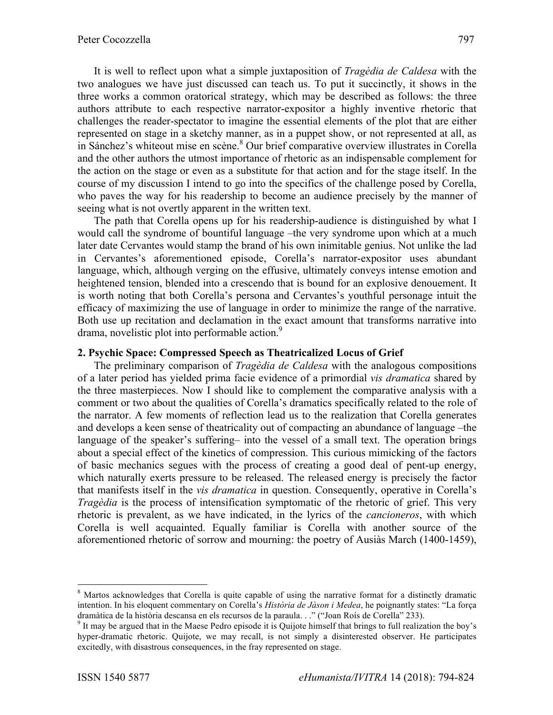It is well to reflect upon what a simple juxtaposition of *Tragèdia de Caldesa* with the two analogues we have just discussed can teach us. To put it succinctly, it shows in the three works a common oratorical strategy, which may be described as follows: the three authors attribute to each respective narrator-expositor a highly inventive rhetoric that challenges the reader-spectator to imagine the essential elements of the plot that are either represented on stage in a sketchy manner, as in a puppet show, or not represented at all, as in Sánchez's whiteout mise en scène.<sup>8</sup> Our brief comparative overview illustrates in Corella and the other authors the utmost importance of rhetoric as an indispensable complement for the action on the stage or even as a substitute for that action and for the stage itself. In the course of my discussion I intend to go into the specifics of the challenge posed by Corella, who paves the way for his readership to become an audience precisely by the manner of seeing what is not overtly apparent in the written text.

The path that Corella opens up for his readership-audience is distinguished by what I would call the syndrome of bountiful language –the very syndrome upon which at a much later date Cervantes would stamp the brand of his own inimitable genius. Not unlike the lad in Cervantes's aforementioned episode, Corella's narrator-expositor uses abundant language, which, although verging on the effusive, ultimately conveys intense emotion and heightened tension, blended into a crescendo that is bound for an explosive denouement. It is worth noting that both Corella's persona and Cervantes's youthful personage intuit the efficacy of maximizing the use of language in order to minimize the range of the narrative. Both use up recitation and declamation in the exact amount that transforms narrative into drama, novelistic plot into performable action.<sup>9</sup>

#### **2. Psychic Space: Compressed Speech as Theatricalized Locus of Grief**

The preliminary comparison of *Tragèdia de Caldesa* with the analogous compositions of a later period has yielded prima facie evidence of a primordial *vis dramatica* shared by the three masterpieces. Now I should like to complement the comparative analysis with a comment or two about the qualities of Corella's dramatics specifically related to the role of the narrator. A few moments of reflection lead us to the realization that Corella generates and develops a keen sense of theatricality out of compacting an abundance of language –the language of the speaker's suffering– into the vessel of a small text. The operation brings about a special effect of the kinetics of compression. This curious mimicking of the factors of basic mechanics segues with the process of creating a good deal of pent-up energy, which naturally exerts pressure to be released. The released energy is precisely the factor that manifests itself in the *vis dramatica* in question. Consequently, operative in Corella's *Tragèdia* is the process of intensification symptomatic of the rhetoric of grief. This very rhetoric is prevalent, as we have indicated, in the lyrics of the *cancioneros*, with which Corella is well acquainted. Equally familiar is Corella with another source of the aforementioned rhetoric of sorrow and mourning: the poetry of Ausiàs March (1400-1459),

<sup>&</sup>lt;sup>8</sup> Martos acknowledges that Corella is quite capable of using the narrative format for a distinctly dramatic intention. In his eloquent commentary on Corella's *Història de Jàson i Medea*, he poignantly states: "La força dramàtica de la història descansa en els recursos de la paraula. . ." ("Joan Roís de Corella" 233).

<sup>9</sup> It may be argued that in the Maese Pedro episode it is Quijote himself that brings to full realization the boy's hyper-dramatic rhetoric. Quijote, we may recall, is not simply a disinterested observer. He participates excitedly, with disastrous consequences, in the fray represented on stage.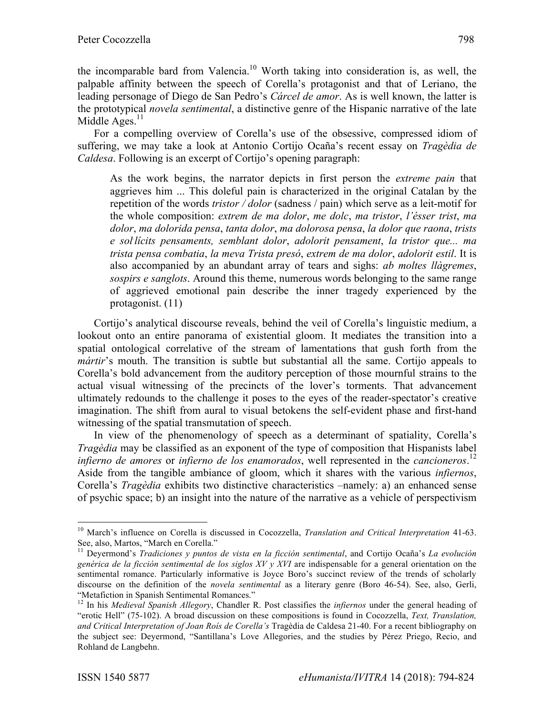the incomparable bard from Valencia.<sup>10</sup> Worth taking into consideration is, as well, the palpable affinity between the speech of Corella's protagonist and that of Leriano, the leading personage of Diego de San Pedro's *Cárcel de amor*. As is well known, the latter is the prototypical *novela sentimental*, a distinctive genre of the Hispanic narrative of the late Middle Ages. $<sup>11</sup>$ </sup>

For a compelling overview of Corella's use of the obsessive, compressed idiom of suffering, we may take a look at Antonio Cortijo Ocaña's recent essay on *Tragèdia de Caldesa*. Following is an excerpt of Cortijo's opening paragraph:

As the work begins, the narrator depicts in first person the *extreme pain* that aggrieves him ... This doleful pain is characterized in the original Catalan by the repetition of the words *tristor / dolor* (sadness / pain) which serve as a leit-motif for the whole composition: *extrem de ma dolor*, *me dolc*, *ma tristor*, *l'ésser trist*, *ma dolor*, *ma dolorida pensa*, *tanta dolor*, *ma dolorosa pensa*, *la dolor que raona*, *trists e sol. lícits pensaments, semblant dolor*, *adolorit pensament*, *la tristor que... ma trista pensa combatia*, *la meva Trista presó*, *extrem de ma dolor*, *adolorit estil*. It is also accompanied by an abundant array of tears and sighs: *ab moltes llàgremes*, *sospirs e sanglots*. Around this theme, numerous words belonging to the same range of aggrieved emotional pain describe the inner tragedy experienced by the protagonist. (11)

Cortijo's analytical discourse reveals, behind the veil of Corella's linguistic medium, a lookout onto an entire panorama of existential gloom. It mediates the transition into a spatial ontological correlative of the stream of lamentations that gush forth from the *mártir*'s mouth. The transition is subtle but substantial all the same. Cortijo appeals to Corella's bold advancement from the auditory perception of those mournful strains to the actual visual witnessing of the precincts of the lover's torments. That advancement ultimately redounds to the challenge it poses to the eyes of the reader-spectator's creative imagination. The shift from aural to visual betokens the self-evident phase and first-hand witnessing of the spatial transmutation of speech.

In view of the phenomenology of speech as a determinant of spatiality, Corella's *Tragèdia* may be classified as an exponent of the type of composition that Hispanists label *infierno de amores* or *infierno de los enamorados*, well represented in the *cancioneros*. 12 Aside from the tangible ambiance of gloom, which it shares with the various *infiernos*, Corella's *Tragèdia* exhibits two distinctive characteristics –namely: a) an enhanced sense of psychic space; b) an insight into the nature of the narrative as a vehicle of perspectivism

 <sup>10</sup> March's influence on Corella is discussed in Cocozzella, *Translation and Critical Interpretation* 41-63. See, also, Martos, "March en Corella."

<sup>11</sup> Deyermond's *Tradiciones y puntos de vista en la ficción sentimental*, and Cortijo Ocaña's *La evolución genérica de la ficción sentimental de los siglos XV y XVI* are indispensable for a general orientation on the sentimental romance. Particularly informative is Joyce Boro's succinct review of the trends of scholarly discourse on the definition of the *novela sentimental* as a literary genre (Boro 46-54). See, also, Gerli, "Metafiction in Spanish Sentimental Romances."

<sup>12</sup> In his *Medieval Spanish Allegory*, Chandler R. Post classifies the *infiernos* under the general heading of "erotic Hell" (75-102). A broad discussion on these compositions is found in Cocozzella, *Text, Translation, and Critical Interpretation of Joan Roís de Corella's* Tragèdia de Caldesa 21-40. For a recent bibliography on the subject see: Deyermond, "Santillana's Love Allegories, and the studies by Pérez Priego, Recio, and Rohland de Langbehn.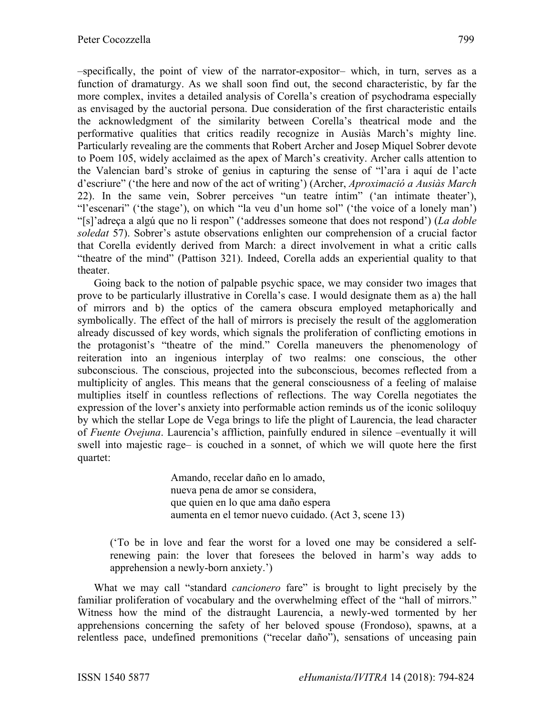–specifically, the point of view of the narrator-expositor– which, in turn, serves as a function of dramaturgy. As we shall soon find out, the second characteristic, by far the more complex, invites a detailed analysis of Corella's creation of psychodrama especially as envisaged by the auctorial persona. Due consideration of the first characteristic entails the acknowledgment of the similarity between Corella's theatrical mode and the performative qualities that critics readily recognize in Ausiàs March's mighty line. Particularly revealing are the comments that Robert Archer and Josep Miquel Sobrer devote to Poem 105, widely acclaimed as the apex of March's creativity. Archer calls attention to the Valencian bard's stroke of genius in capturing the sense of "l'ara i aquí de l'acte d'escriure" ('the here and now of the act of writing') (Archer, *Aproximació a Ausiàs March* 22). In the same vein, Sobrer perceives "un teatre íntim" ('an intimate theater'), "l'escenari" ('the stage'), on which "la veu d'un home sol" ('the voice of a lonely man') "[s]'adreça a algú que no li respon" ('addresses someone that does not respond') (*La doble soledat* 57). Sobrer's astute observations enlighten our comprehension of a crucial factor that Corella evidently derived from March: a direct involvement in what a critic calls "theatre of the mind" (Pattison 321). Indeed, Corella adds an experiential quality to that theater.

Going back to the notion of palpable psychic space, we may consider two images that prove to be particularly illustrative in Corella's case. I would designate them as a) the hall of mirrors and b) the optics of the camera obscura employed metaphorically and symbolically. The effect of the hall of mirrors is precisely the result of the agglomeration already discussed of key words, which signals the proliferation of conflicting emotions in the protagonist's "theatre of the mind." Corella maneuvers the phenomenology of reiteration into an ingenious interplay of two realms: one conscious, the other subconscious. The conscious, projected into the subconscious, becomes reflected from a multiplicity of angles. This means that the general consciousness of a feeling of malaise multiplies itself in countless reflections of reflections. The way Corella negotiates the expression of the lover's anxiety into performable action reminds us of the iconic soliloquy by which the stellar Lope de Vega brings to life the plight of Laurencia, the lead character of *Fuente Ovejuna*. Laurencia's affliction, painfully endured in silence –eventually it will swell into majestic rage– is couched in a sonnet, of which we will quote here the first quartet:

> Amando, recelar daño en lo amado, nueva pena de amor se considera, que quien en lo que ama daño espera aumenta en el temor nuevo cuidado. (Act 3, scene 13)

('To be in love and fear the worst for a loved one may be considered a selfrenewing pain: the lover that foresees the beloved in harm's way adds to apprehension a newly-born anxiety.')

What we may call "standard *cancionero* fare" is brought to light precisely by the familiar proliferation of vocabulary and the overwhelming effect of the "hall of mirrors." Witness how the mind of the distraught Laurencia, a newly-wed tormented by her apprehensions concerning the safety of her beloved spouse (Frondoso), spawns, at a relentless pace, undefined premonitions ("recelar daño"), sensations of unceasing pain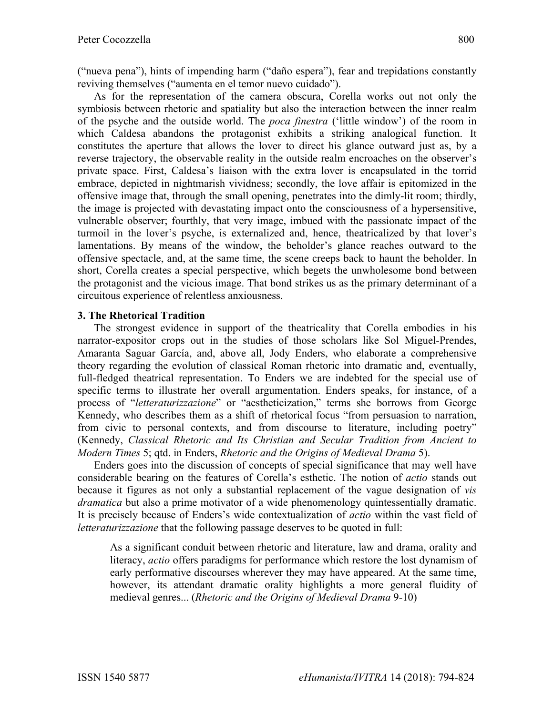("nueva pena"), hints of impending harm ("daño espera"), fear and trepidations constantly reviving themselves ("aumenta en el temor nuevo cuidado").

As for the representation of the camera obscura, Corella works out not only the symbiosis between rhetoric and spatiality but also the interaction between the inner realm of the psyche and the outside world. The *poca finestra* ('little window') of the room in which Caldesa abandons the protagonist exhibits a striking analogical function. It constitutes the aperture that allows the lover to direct his glance outward just as, by a reverse trajectory, the observable reality in the outside realm encroaches on the observer's private space. First, Caldesa's liaison with the extra lover is encapsulated in the torrid embrace, depicted in nightmarish vividness; secondly, the love affair is epitomized in the offensive image that, through the small opening, penetrates into the dimly-lit room; thirdly, the image is projected with devastating impact onto the consciousness of a hypersensitive, vulnerable observer; fourthly, that very image, imbued with the passionate impact of the turmoil in the lover's psyche, is externalized and, hence, theatricalized by that lover's lamentations. By means of the window, the beholder's glance reaches outward to the offensive spectacle, and, at the same time, the scene creeps back to haunt the beholder. In short, Corella creates a special perspective, which begets the unwholesome bond between the protagonist and the vicious image. That bond strikes us as the primary determinant of a circuitous experience of relentless anxiousness.

### **3. The Rhetorical Tradition**

The strongest evidence in support of the theatricality that Corella embodies in his narrator-expositor crops out in the studies of those scholars like Sol Miguel-Prendes, Amaranta Saguar García, and, above all, Jody Enders, who elaborate a comprehensive theory regarding the evolution of classical Roman rhetoric into dramatic and, eventually, full-fledged theatrical representation. To Enders we are indebted for the special use of specific terms to illustrate her overall argumentation. Enders speaks, for instance, of a process of "*letteraturizzazione*" or "aestheticization," terms she borrows from George Kennedy, who describes them as a shift of rhetorical focus "from persuasion to narration, from civic to personal contexts, and from discourse to literature, including poetry" (Kennedy, *Classical Rhetoric and Its Christian and Secular Tradition from Ancient to Modern Times* 5; qtd. in Enders, *Rhetoric and the Origins of Medieval Drama* 5).

Enders goes into the discussion of concepts of special significance that may well have considerable bearing on the features of Corella's esthetic. The notion of *actio* stands out because it figures as not only a substantial replacement of the vague designation of *vis dramatica* but also a prime motivator of a wide phenomenology quintessentially dramatic. It is precisely because of Enders's wide contextualization of *actio* within the vast field of *letteraturizzazione* that the following passage deserves to be quoted in full:

As a significant conduit between rhetoric and literature, law and drama, orality and literacy, *actio* offers paradigms for performance which restore the lost dynamism of early performative discourses wherever they may have appeared. At the same time, however, its attendant dramatic orality highlights a more general fluidity of medieval genres... (*Rhetoric and the Origins of Medieval Drama* 9-10)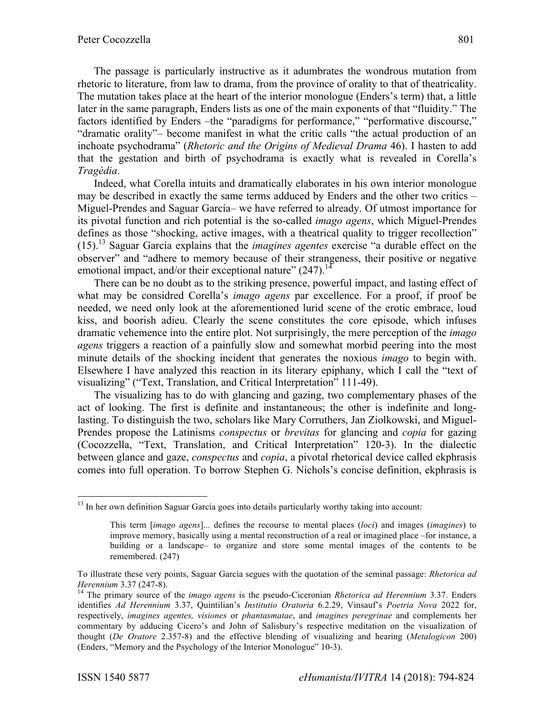The passage is particularly instructive as it adumbrates the wondrous mutation from rhetoric to literature, from law to drama, from the province of orality to that of theatricality. The mutation takes place at the heart of the interior monologue (Enders's term) that, a little later in the same paragraph, Enders lists as one of the main exponents of that "fluidity." The factors identified by Enders –the "paradigms for performance," "performative discourse," "dramatic orality"– become manifest in what the critic calls "the actual production of an inchoate psychodrama" (*Rhetoric and the Origins of Medieval Drama* 46). I hasten to add that the gestation and birth of psychodrama is exactly what is revealed in Corella's *Tragèdia*.

Indeed, what Corella intuits and dramatically elaborates in his own interior monologue may be described in exactly the same terms adduced by Enders and the other two critics – Miguel-Prendes and Saguar García– we have referred to already. Of utmost importance for its pivotal function and rich potential is the so-called *imago agens*, which Miguel-Prendes defines as those "shocking, active images, with a theatrical quality to trigger recollection" (15).<sup>13</sup> Saguar García explains that the *imagines agentes* exercise "a durable effect on the observer" and "adhere to memory because of their strangeness, their positive or negative emotional impact, and/or their exceptional nature"  $(247)$ .<sup>14</sup>

There can be no doubt as to the striking presence, powerful impact, and lasting effect of what may be considred Corella's *imago agens* par excellence. For a proof, if proof be needed, we need only look at the aforementioned lurid scene of the erotic embrace, loud kiss, and boorish adieu. Clearly the scene constitutes the core episode, which infuses dramatic vehemence into the entire plot. Not surprisingly, the mere perception of the *imago agens* triggers a reaction of a painfully slow and somewhat morbid peering into the most minute details of the shocking incident that generates the noxious *imago* to begin with. Elsewhere I have analyzed this reaction in its literary epiphany, which I call the "text of visualizing" ("Text, Translation, and Critical Interpretation" 111-49).

The visualizing has to do with glancing and gazing, two complementary phases of the act of looking. The first is definite and instantaneous; the other is indefinite and longlasting. To distinguish the two, scholars like Mary Corruthers, Jan Ziolkowski, and Miguel-Prendes propose the Latinisms *conspectus* or *brevitas* for glancing and *copia* for gazing (Cocozzella, "Text, Translation, and Critical Interpretation" 120-3). In the dialectic between glance and gaze, *conspectus* and *copia*, a pivotal rhetorical device called ekphrasis comes into full operation. To borrow Stephen G. Nichols's concise definition, ekphrasis is

<sup>&</sup>lt;sup>13</sup> In her own definition Saguar García goes into details particularly worthy taking into account:

This term [*imago agens*]... defines the recourse to mental places (*loci*) and images (*imagines*) to improve memory, basically using a mental reconstruction of a real or imagined place –for instance, a building or a landscape– to organize and store some mental images of the contents to be remembered. (247)

To illustrate these very points, Saguar García segues with the quotation of the seminal passage: *Rhetorica ad Herennium* 3.37 (247-8).<br><sup>14</sup> The primary source of the *imago agens* is the pseudo-Ciceronian *Rhetorica ad Herennium* 3.37. Enders

identifies *Ad Herennium* 3.37, Quintilian's *Institutio Oratoria* 6.2.29, Vinsauf's *Poetria Nova* 2022 for, respectively, *imagines agentes, visiones* or *phantasmatae*, and *imagines peregrinae* and complements her commentary by adducing Cicero's and John of Salisbury's respective meditation on the visualization of thought (*De Oratore* 2.357-8) and the effective blending of visualizing and hearing (*Metalogicon* 200) (Enders, "Memory and the Psychology of the Interior Monologue" 10-3).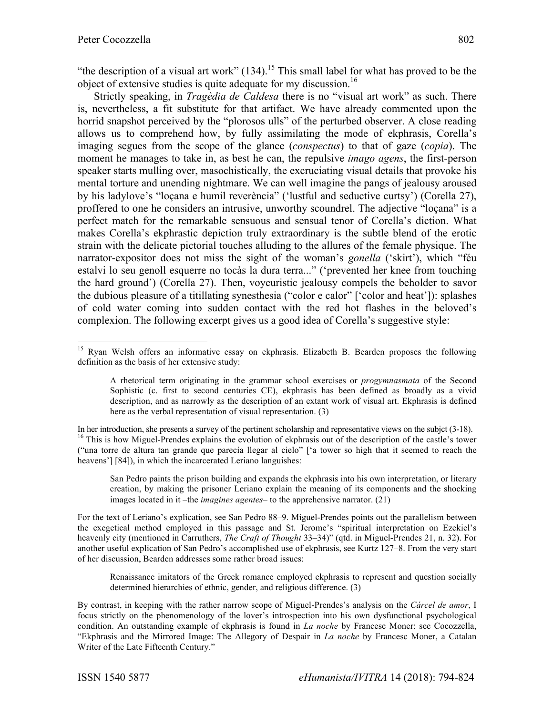"the description of a visual art work"  $(134)$ .<sup>15</sup> This small label for what has proved to be the object of extensive studies is quite adequate for my discussion.<sup>16</sup>

Strictly speaking, in *Tragèdia de Caldesa* there is no "visual art work" as such. There is, nevertheless, a fit substitute for that artifact. We have already commented upon the horrid snapshot perceived by the "plorosos ulls" of the perturbed observer. A close reading allows us to comprehend how, by fully assimilating the mode of ekphrasis, Corella's imaging segues from the scope of the glance (*conspectus*) to that of gaze (*copia*). The moment he manages to take in, as best he can, the repulsive *imago agens*, the first-person speaker starts mulling over, masochistically, the excruciating visual details that provoke his mental torture and unending nightmare. We can well imagine the pangs of jealousy aroused by his ladylove's "loçana e humil reverència" ('lustful and seductive curtsy') (Corella 27), proffered to one he considers an intrusive, unworthy scoundrel. The adjective "loçana" is a perfect match for the remarkable sensuous and sensual tenor of Corella's diction. What makes Corella's ekphrastic depiction truly extraordinary is the subtle blend of the erotic strain with the delicate pictorial touches alluding to the allures of the female physique. The narrator-expositor does not miss the sight of the woman's *gonella* ('skirt'), which "féu estalvi lo seu genoll esquerre no tocàs la dura terra..." ('prevented her knee from touching the hard ground') (Corella 27). Then, voyeuristic jealousy compels the beholder to savor the dubious pleasure of a titillating synesthesia ("color e calor" ['color and heat']): splashes of cold water coming into sudden contact with the red hot flashes in the beloved's complexion. The following excerpt gives us a good idea of Corella's suggestive style:

San Pedro paints the prison building and expands the ekphrasis into his own interpretation, or literary creation, by making the prisoner Leriano explain the meaning of its components and the shocking images located in it –the *imagines agentes*– to the apprehensive narrator. (21)

For the text of Leriano's explication, see San Pedro 88–9. Miguel-Prendes points out the parallelism between the exegetical method employed in this passage and St. Jerome's "spiritual interpretation on Ezekiel's heavenly city (mentioned in Carruthers, *The Craft of Thought* 33–34)" (qtd. in Miguel-Prendes 21, n. 32). For another useful explication of San Pedro's accomplished use of ekphrasis, see Kurtz 127–8. From the very start of her discussion, Bearden addresses some rather broad issues:

Renaissance imitators of the Greek romance employed ekphrasis to represent and question socially determined hierarchies of ethnic, gender, and religious difference. (3)

By contrast, in keeping with the rather narrow scope of Miguel-Prendes's analysis on the *Cárcel de amor*, I focus strictly on the phenomenology of the lover's introspection into his own dysfunctional psychological condition. An outstanding example of ekphrasis is found in *La noche* by Francesc Moner: see Cocozzella, "Ekphrasis and the Mirrored Image: The Allegory of Despair in *La noche* by Francesc Moner, a Catalan Writer of the Late Fifteenth Century."

<sup>&</sup>lt;sup>15</sup> Ryan Welsh offers an informative essay on ekphrasis. Elizabeth B. Bearden proposes the following definition as the basis of her extensive study:

A rhetorical term originating in the grammar school exercises or *progymnasmata* of the Second Sophistic (c. first to second centuries CE), ekphrasis has been defined as broadly as a vivid description, and as narrowly as the description of an extant work of visual art. Ekphrasis is defined here as the verbal representation of visual representation. (3)

In her introduction, she presents a survey of the pertinent scholarship and representative views on the subjet  $(3-18)$ .<br><sup>16</sup> This is how Miguel-Prendes explains the evolution of ekphrasis out of the description of the ca ("una torre de altura tan grande que parecía llegar al cielo" ['a tower so high that it seemed to reach the heavens'] [84]), in which the incarcerated Leriano languishes: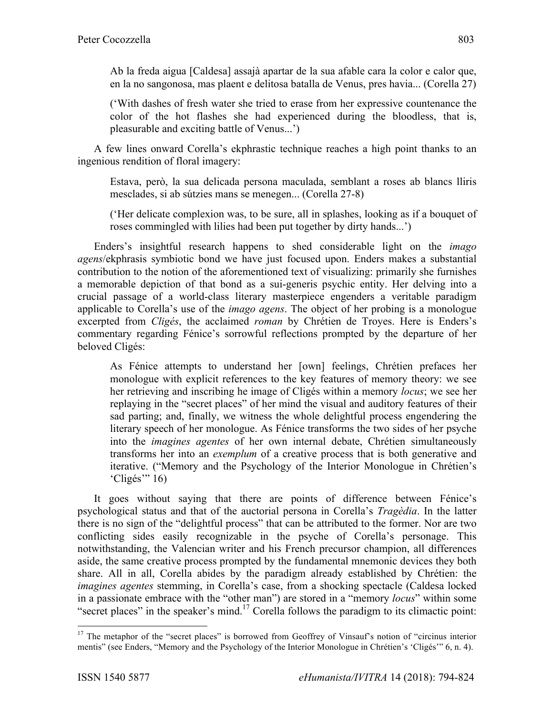Ab la freda aigua [Caldesa] assajà apartar de la sua afable cara la color e calor que, en la no sangonosa, mas plaent e delitosa batalla de Venus, pres havia... (Corella 27)

('With dashes of fresh water she tried to erase from her expressive countenance the color of the hot flashes she had experienced during the bloodless, that is, pleasurable and exciting battle of Venus...')

A few lines onward Corella's ekphrastic technique reaches a high point thanks to an ingenious rendition of floral imagery:

Estava, però, la sua delicada persona maculada, semblant a roses ab blancs lliris mesclades, si ab sútzies mans se menegen... (Corella 27-8)

('Her delicate complexion was, to be sure, all in splashes, looking as if a bouquet of roses commingled with lilies had been put together by dirty hands...')

Enders's insightful research happens to shed considerable light on the *imago agens*/ekphrasis symbiotic bond we have just focused upon. Enders makes a substantial contribution to the notion of the aforementioned text of visualizing: primarily she furnishes a memorable depiction of that bond as a sui-generis psychic entity. Her delving into a crucial passage of a world-class literary masterpiece engenders a veritable paradigm applicable to Corella's use of the *imago agens*. The object of her probing is a monologue excerpted from *Cligés*, the acclaimed *roman* by Chrétien de Troyes. Here is Enders's commentary regarding Fénice's sorrowful reflections prompted by the departure of her beloved Cligés:

As Fénice attempts to understand her [own] feelings, Chrétien prefaces her monologue with explicit references to the key features of memory theory: we see her retrieving and inscribing he image of Cligés within a memory *locus*; we see her replaying in the "secret places" of her mind the visual and auditory features of their sad parting; and, finally, we witness the whole delightful process engendering the literary speech of her monologue. As Fénice transforms the two sides of her psyche into the *imagines agentes* of her own internal debate, Chrétien simultaneously transforms her into an *exemplum* of a creative process that is both generative and iterative. ("Memory and the Psychology of the Interior Monologue in Chrétien's 'Cligés'" 16)

It goes without saying that there are points of difference between Fénice's psychological status and that of the auctorial persona in Corella's *Tragèdia*. In the latter there is no sign of the "delightful process" that can be attributed to the former. Nor are two conflicting sides easily recognizable in the psyche of Corella's personage. This notwithstanding, the Valencian writer and his French precursor champion, all differences aside, the same creative process prompted by the fundamental mnemonic devices they both share. All in all, Corella abides by the paradigm already established by Chrétien: the *imagines agentes* stemming, in Corella's case, from a shocking spectacle (Caldesa locked in a passionate embrace with the "other man") are stored in a "memory *locus*" within some "secret places" in the speaker's mind.<sup>17</sup> Corella follows the paradigm to its climactic point:

<sup>&</sup>lt;sup>17</sup> The metaphor of the "secret places" is borrowed from Geoffrey of Vinsauf's notion of "circinus interior" mentis" (see Enders, "Memory and the Psychology of the Interior Monologue in Chrétien's 'Cligés'" 6, n. 4).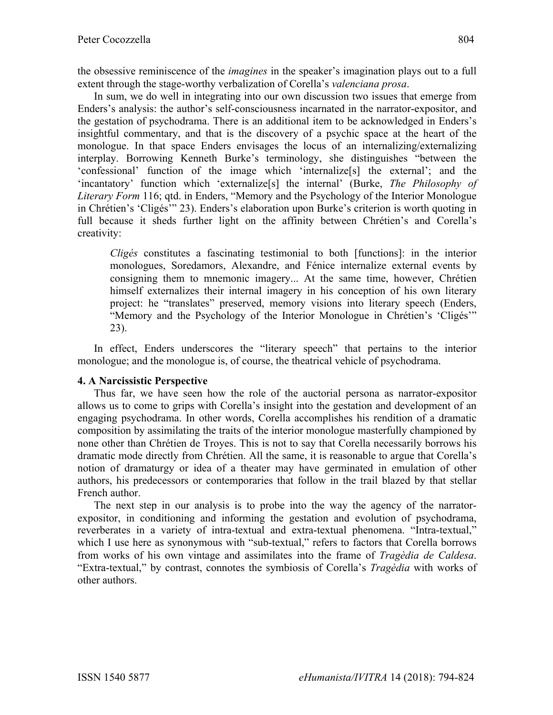the obsessive reminiscence of the *imagines* in the speaker's imagination plays out to a full extent through the stage-worthy verbalization of Corella's *valenciana prosa*.

In sum, we do well in integrating into our own discussion two issues that emerge from Enders's analysis: the author's self-consciousness incarnated in the narrator-expositor, and the gestation of psychodrama. There is an additional item to be acknowledged in Enders's insightful commentary, and that is the discovery of a psychic space at the heart of the monologue. In that space Enders envisages the locus of an internalizing/externalizing interplay. Borrowing Kenneth Burke's terminology, she distinguishes "between the 'confessional' function of the image which 'internalize[s] the external'; and the 'incantatory' function which 'externalize[s] the internal' (Burke, *The Philosophy of Literary Form* 116; qtd. in Enders, "Memory and the Psychology of the Interior Monologue in Chrétien's 'Cligés'" 23). Enders's elaboration upon Burke's criterion is worth quoting in full because it sheds further light on the affinity between Chrétien's and Corella's creativity:

*Cligés* constitutes a fascinating testimonial to both [functions]: in the interior monologues, Soredamors, Alexandre, and Fénice internalize external events by consigning them to mnemonic imagery... At the same time, however, Chrétien himself externalizes their internal imagery in his conception of his own literary project: he "translates" preserved, memory visions into literary speech (Enders, "Memory and the Psychology of the Interior Monologue in Chrétien's 'Cligés'" 23).

In effect, Enders underscores the "literary speech" that pertains to the interior monologue; and the monologue is, of course, the theatrical vehicle of psychodrama.

## **4. A Narcissistic Perspective**

Thus far, we have seen how the role of the auctorial persona as narrator-expositor allows us to come to grips with Corella's insight into the gestation and development of an engaging psychodrama. In other words, Corella accomplishes his rendition of a dramatic composition by assimilating the traits of the interior monologue masterfully championed by none other than Chrétien de Troyes. This is not to say that Corella necessarily borrows his dramatic mode directly from Chrétien. All the same, it is reasonable to argue that Corella's notion of dramaturgy or idea of a theater may have germinated in emulation of other authors, his predecessors or contemporaries that follow in the trail blazed by that stellar French author.

The next step in our analysis is to probe into the way the agency of the narratorexpositor, in conditioning and informing the gestation and evolution of psychodrama, reverberates in a variety of intra-textual and extra-textual phenomena. "Intra-textual," which I use here as synonymous with "sub-textual," refers to factors that Corella borrows from works of his own vintage and assimilates into the frame of *Tragèdia de Caldesa*. "Extra-textual," by contrast, connotes the symbiosis of Corella's *Tragèdia* with works of other authors.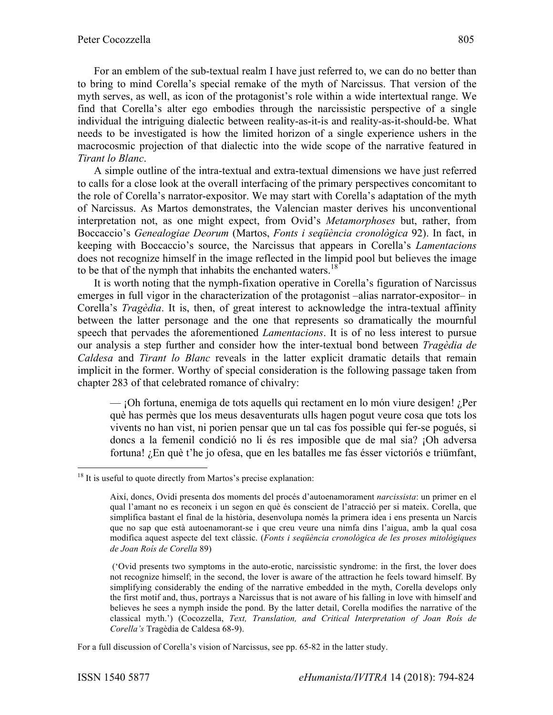For an emblem of the sub-textual realm I have just referred to, we can do no better than to bring to mind Corella's special remake of the myth of Narcissus. That version of the myth serves, as well, as icon of the protagonist's role within a wide intertextual range. We find that Corella's alter ego embodies through the narcissistic perspective of a single individual the intriguing dialectic between reality-as-it-is and reality-as-it-should-be. What needs to be investigated is how the limited horizon of a single experience ushers in the macrocosmic projection of that dialectic into the wide scope of the narrative featured in *Tirant lo Blanc*.

A simple outline of the intra-textual and extra-textual dimensions we have just referred to calls for a close look at the overall interfacing of the primary perspectives concomitant to the role of Corella's narrator-expositor. We may start with Corella's adaptation of the myth of Narcissus. As Martos demonstrates, the Valencian master derives his unconventional interpretation not, as one might expect, from Ovid's *Metamorphoses* but, rather, from Boccaccio's *Genealogiae Deorum* (Martos, *Fonts i seqüència cronològica* 92). In fact, in keeping with Boccaccio's source, the Narcissus that appears in Corella's *Lamentacions* does not recognize himself in the image reflected in the limpid pool but believes the image to be that of the nymph that inhabits the enchanted waters.<sup>18</sup>

It is worth noting that the nymph-fixation operative in Corella's figuration of Narcissus emerges in full vigor in the characterization of the protagonist –alias narrator-expositor– in Corella's *Tragèdia*. It is, then, of great interest to acknowledge the intra-textual affinity between the latter personage and the one that represents so dramatically the mournful speech that pervades the aforementioned *Lamentacions*. It is of no less interest to pursue our analysis a step further and consider how the inter-textual bond between *Tragèdia de Caldesa* and *Tirant lo Blanc* reveals in the latter explicit dramatic details that remain implicit in the former. Worthy of special consideration is the following passage taken from chapter 283 of that celebrated romance of chivalry:

— ¡Oh fortuna, enemiga de tots aquells qui rectament en lo món viure desigen! ¿Per què has permès que los meus desaventurats ulls hagen pogut veure cosa que tots los vivents no han vist, ni porien pensar que un tal cas fos possible qui fer-se pogués, si doncs a la femenil condició no li és res imposible que de mal sia? ¡Oh adversa fortuna! ¿En què t'he jo ofesa, que en les batalles me fas ésser victoriós e triümfant,

For a full discussion of Corella's vision of Narcissus, see pp. 65-82 in the latter study.

 $18$  It is useful to quote directly from Martos's precise explanation:

Així, doncs, Ovidi presenta dos moments del procés d'autoenamorament *narcissista*: un primer en el qual l'amant no es reconeix i un segon en què és conscient de l'atracció per si mateix. Corella, que simplifica bastant el final de la història, desenvolupa només la primera idea i ens presenta un Narcís que no sap que està autoenamorant-se i que creu veure una nimfa dins l'aigua, amb la qual cosa modifica aquest aspecte del text clàssic. (*Fonts i seqüència cronològica de les proses mitològiques de Joan Roís de Corella* 89)

<sup>(&#</sup>x27;Ovid presents two symptoms in the auto-erotic, narcissistic syndrome: in the first, the lover does not recognize himself; in the second, the lover is aware of the attraction he feels toward himself. By simplifying considerably the ending of the narrative embedded in the myth, Corella develops only the first motif and, thus, portrays a Narcissus that is not aware of his falling in love with himself and believes he sees a nymph inside the pond. By the latter detail, Corella modifies the narrative of the classical myth.') (Cocozzella, *Text, Translation, and Critical Interpretation of Joan Roís de Corella's* Tragèdia de Caldesa 68-9).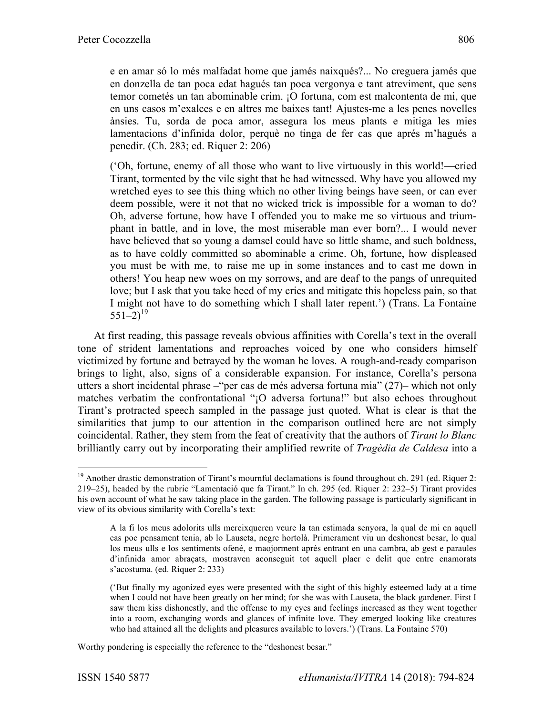e en amar só lo més malfadat home que jamés naixqués?... No creguera jamés que en donzella de tan poca edat hagués tan poca vergonya e tant atreviment, que sens temor cometés un tan abominable crim. ¡O fortuna, com est malcontenta de mi, que en uns casos m'exalces e en altres me baixes tant! Ajustes-me a les penes novelles ànsies. Tu, sorda de poca amor, assegura los meus plants e mitiga les mies lamentacions d'infinida dolor, perquè no tinga de fer cas que aprés m'hagués a penedir. (Ch. 283; ed. Riquer 2: 206)

('Oh, fortune, enemy of all those who want to live virtuously in this world!—cried Tirant, tormented by the vile sight that he had witnessed. Why have you allowed my wretched eyes to see this thing which no other living beings have seen, or can ever deem possible, were it not that no wicked trick is impossible for a woman to do? Oh, adverse fortune, how have I offended you to make me so virtuous and triumphant in battle, and in love, the most miserable man ever born?... I would never have believed that so young a damsel could have so little shame, and such boldness, as to have coldly committed so abominable a crime. Oh, fortune, how displeased you must be with me, to raise me up in some instances and to cast me down in others! You heap new woes on my sorrows, and are deaf to the pangs of unrequited love; but I ask that you take heed of my cries and mitigate this hopeless pain, so that I might not have to do something which I shall later repent.') (Trans. La Fontaine  $551-2$ <sup>19</sup>

At first reading, this passage reveals obvious affinities with Corella's text in the overall tone of strident lamentations and reproaches voiced by one who considers himself victimized by fortune and betrayed by the woman he loves. A rough-and-ready comparison brings to light, also, signs of a considerable expansion. For instance, Corella's persona utters a short incidental phrase –"per cas de més adversa fortuna mia" (27)– which not only matches verbatim the confrontational "¡O adversa fortuna!" but also echoes throughout Tirant's protracted speech sampled in the passage just quoted. What is clear is that the similarities that jump to our attention in the comparison outlined here are not simply coincidental. Rather, they stem from the feat of creativity that the authors of *Tirant lo Blanc* brilliantly carry out by incorporating their amplified rewrite of *Tragèdia de Caldesa* into a

Worthy pondering is especially the reference to the "deshonest besar."

<sup>&</sup>lt;sup>19</sup> Another drastic demonstration of Tirant's mournful declamations is found throughout ch. 291 (ed. Riquer 2: 219–25), headed by the rubric "Lamentació que fa Tirant." In ch. 295 (ed. Riquer 2: 232–5) Tirant provides his own account of what he saw taking place in the garden. The following passage is particularly significant in view of its obvious similarity with Corella's text:

A la fi los meus adolorits ulls mereixqueren veure la tan estimada senyora, la qual de mi en aquell cas poc pensament tenia, ab lo Lauseta, negre hortolà. Primerament viu un deshonest besar, lo qual los meus ulls e los sentiments ofené, e maojorment aprés entrant en una cambra, ab gest e paraules d'infinida amor abraçats, mostraven aconseguit tot aquell plaer e delit que entre enamorats s'acostuma. (ed. Riquer 2: 233)

<sup>(&#</sup>x27;But finally my agonized eyes were presented with the sight of this highly esteemed lady at a time when I could not have been greatly on her mind; for she was with Lauseta, the black gardener. First I saw them kiss dishonestly, and the offense to my eyes and feelings increased as they went together into a room, exchanging words and glances of infinite love. They emerged looking like creatures who had attained all the delights and pleasures available to lovers.') (Trans. La Fontaine 570)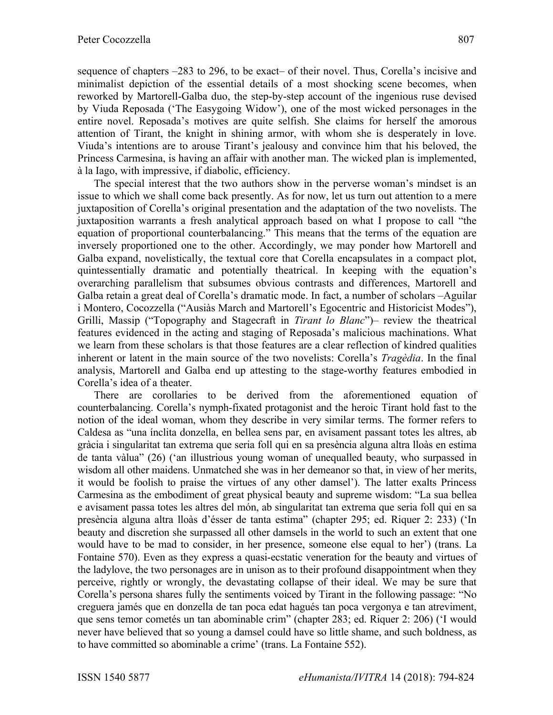sequence of chapters –283 to 296, to be exact– of their novel. Thus, Corella's incisive and minimalist depiction of the essential details of a most shocking scene becomes, when reworked by Martorell-Galba duo, the step-by-step account of the ingenious ruse devised by Viuda Reposada ('The Easygoing Widow'), one of the most wicked personages in the entire novel. Reposada's motives are quite selfish. She claims for herself the amorous attention of Tirant, the knight in shining armor, with whom she is desperately in love. Viuda's intentions are to arouse Tirant's jealousy and convince him that his beloved, the Princess Carmesina, is having an affair with another man. The wicked plan is implemented, à la Iago, with impressive, if diabolic, efficiency.

The special interest that the two authors show in the perverse woman's mindset is an issue to which we shall come back presently. As for now, let us turn out attention to a mere juxtaposition of Corella's original presentation and the adaptation of the two novelists. The juxtaposition warrants a fresh analytical approach based on what I propose to call "the equation of proportional counterbalancing." This means that the terms of the equation are inversely proportioned one to the other. Accordingly, we may ponder how Martorell and Galba expand, novelistically, the textual core that Corella encapsulates in a compact plot, quintessentially dramatic and potentially theatrical. In keeping with the equation's overarching parallelism that subsumes obvious contrasts and differences, Martorell and Galba retain a great deal of Corella's dramatic mode. In fact, a number of scholars –Aguilar i Montero, Cocozzella ("Ausiàs March and Martorell's Egocentric and Historicist Modes"), Grilli, Massip ("Topography and Stagecraft in *Tirant lo Blanc*")– review the theatrical features evidenced in the acting and staging of Reposada's malicious machinations. What we learn from these scholars is that those features are a clear reflection of kindred qualities inherent or latent in the main source of the two novelists: Corella's *Tragèdia*. In the final analysis, Martorell and Galba end up attesting to the stage-worthy features embodied in Corella's idea of a theater.

There are corollaries to be derived from the aforementioned equation of counterbalancing. Corella's nymph-fixated protagonist and the heroic Tirant hold fast to the notion of the ideal woman, whom they describe in very similar terms. The former refers to Caldesa as "una ínclita donzella, en bellea sens par, en avisament passant totes les altres, ab gràcia i singularitat tan extrema que seria foll qui en sa presència alguna altra lloàs en estima de tanta vàlua" (26) ('an illustrious young woman of unequalled beauty, who surpassed in wisdom all other maidens. Unmatched she was in her demeanor so that, in view of her merits, it would be foolish to praise the virtues of any other damsel'). The latter exalts Princess Carmesina as the embodiment of great physical beauty and supreme wisdom: "La sua bellea e avisament passa totes les altres del món, ab singularitat tan extrema que seria foll qui en sa presència alguna altra lloàs d'ésser de tanta estima" (chapter 295; ed. Riquer 2: 233) ('In beauty and discretion she surpassed all other damsels in the world to such an extent that one would have to be mad to consider, in her presence, someone else equal to her') (trans. La Fontaine 570). Even as they express a quasi-ecstatic veneration for the beauty and virtues of the ladylove, the two personages are in unison as to their profound disappointment when they perceive, rightly or wrongly, the devastating collapse of their ideal. We may be sure that Corella's persona shares fully the sentiments voiced by Tirant in the following passage: "No creguera jamés que en donzella de tan poca edat hagués tan poca vergonya e tan atreviment, que sens temor cometés un tan abominable crim" (chapter 283; ed. Riquer 2: 206) ('I would never have believed that so young a damsel could have so little shame, and such boldness, as to have committed so abominable a crime' (trans. La Fontaine 552).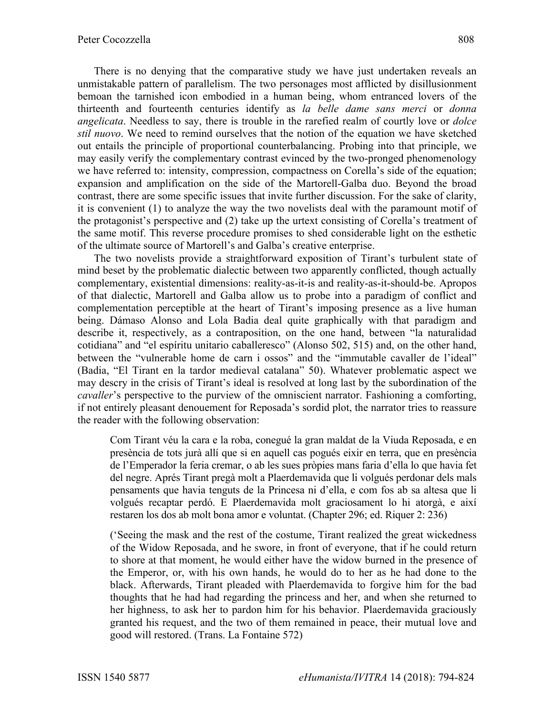There is no denying that the comparative study we have just undertaken reveals an unmistakable pattern of parallelism. The two personages most afflicted by disillusionment bemoan the tarnished icon embodied in a human being, whom entranced lovers of the thirteenth and fourteenth centuries identify as *la belle dame sans merci* or *donna angelicata*. Needless to say, there is trouble in the rarefied realm of courtly love or *dolce stil nuovo*. We need to remind ourselves that the notion of the equation we have sketched out entails the principle of proportional counterbalancing. Probing into that principle, we may easily verify the complementary contrast evinced by the two-pronged phenomenology we have referred to: intensity, compression, compactness on Corella's side of the equation; expansion and amplification on the side of the Martorell-Galba duo. Beyond the broad contrast, there are some specific issues that invite further discussion. For the sake of clarity, it is convenient (1) to analyze the way the two novelists deal with the paramount motif of the protagonist's perspective and (2) take up the urtext consisting of Corella's treatment of the same motif. This reverse procedure promises to shed considerable light on the esthetic of the ultimate source of Martorell's and Galba's creative enterprise.

The two novelists provide a straightforward exposition of Tirant's turbulent state of mind beset by the problematic dialectic between two apparently conflicted, though actually complementary, existential dimensions: reality-as-it-is and reality-as-it-should-be. Apropos of that dialectic, Martorell and Galba allow us to probe into a paradigm of conflict and complementation perceptible at the heart of Tirant's imposing presence as a live human being. Dámaso Alonso and Lola Badia deal quite graphically with that paradigm and describe it, respectively, as a contraposition, on the one hand, between "la naturalidad cotidiana" and "el espíritu unitario caballeresco" (Alonso 502, 515) and, on the other hand, between the "vulnerable home de carn i ossos" and the "immutable cavaller de l'ideal" (Badia, "El Tirant en la tardor medieval catalana" 50). Whatever problematic aspect we may descry in the crisis of Tirant's ideal is resolved at long last by the subordination of the *cavaller*'s perspective to the purview of the omniscient narrator. Fashioning a comforting, if not entirely pleasant denouement for Reposada's sordid plot, the narrator tries to reassure the reader with the following observation:

Com Tirant véu la cara e la roba, conegué la gran maldat de la Viuda Reposada, e en presència de tots jurà allí que si en aquell cas pogués eixir en terra, que en presència de l'Emperador la feria cremar, o ab les sues pròpies mans faria d'ella lo que havia fet del negre. Aprés Tirant pregà molt a Plaerdemavida que li volgués perdonar dels mals pensaments que havia tenguts de la Princesa ni d'ella, e com fos ab sa altesa que li volgués recaptar perdó. E Plaerdemavida molt graciosament lo hi atorgà, e així restaren los dos ab molt bona amor e voluntat. (Chapter 296; ed. Riquer 2: 236)

('Seeing the mask and the rest of the costume, Tirant realized the great wickedness of the Widow Reposada, and he swore, in front of everyone, that if he could return to shore at that moment, he would either have the widow burned in the presence of the Emperor, or, with his own hands, he would do to her as he had done to the black. Afterwards, Tirant pleaded with Plaerdemavida to forgive him for the bad thoughts that he had had regarding the princess and her, and when she returned to her highness, to ask her to pardon him for his behavior. Plaerdemavida graciously granted his request, and the two of them remained in peace, their mutual love and good will restored. (Trans. La Fontaine 572)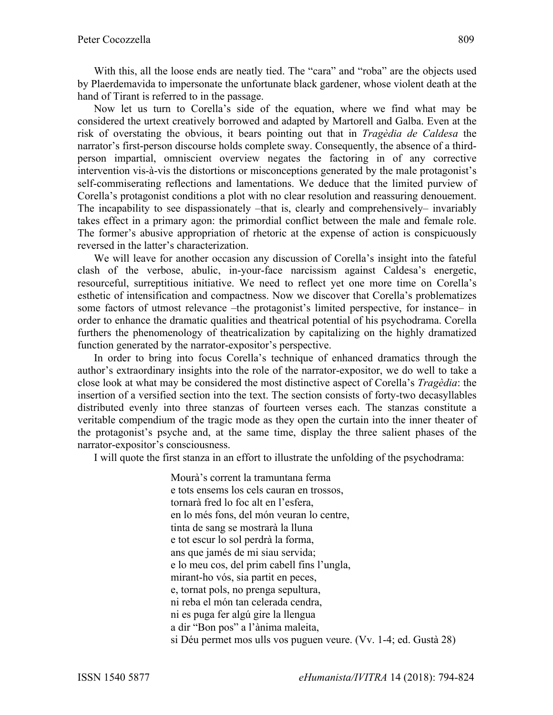With this, all the loose ends are neatly tied. The "cara" and "roba" are the objects used by Plaerdemavida to impersonate the unfortunate black gardener, whose violent death at the hand of Tirant is referred to in the passage.

Now let us turn to Corella's side of the equation, where we find what may be considered the urtext creatively borrowed and adapted by Martorell and Galba. Even at the risk of overstating the obvious, it bears pointing out that in *Tragèdia de Caldesa* the narrator's first-person discourse holds complete sway. Consequently, the absence of a thirdperson impartial, omniscient overview negates the factoring in of any corrective intervention vis-à-vis the distortions or misconceptions generated by the male protagonist's self-commiserating reflections and lamentations. We deduce that the limited purview of Corella's protagonist conditions a plot with no clear resolution and reassuring denouement. The incapability to see dispassionately –that is, clearly and comprehensively– invariably takes effect in a primary agon: the primordial conflict between the male and female role. The former's abusive appropriation of rhetoric at the expense of action is conspicuously reversed in the latter's characterization.

We will leave for another occasion any discussion of Corella's insight into the fateful clash of the verbose, abulic, in-your-face narcissism against Caldesa's energetic, resourceful, surreptitious initiative. We need to reflect yet one more time on Corella's esthetic of intensification and compactness. Now we discover that Corella's problematizes some factors of utmost relevance –the protagonist's limited perspective, for instance– in order to enhance the dramatic qualities and theatrical potential of his psychodrama. Corella furthers the phenomenology of theatricalization by capitalizing on the highly dramatized function generated by the narrator-expositor's perspective.

In order to bring into focus Corella's technique of enhanced dramatics through the author's extraordinary insights into the role of the narrator-expositor, we do well to take a close look at what may be considered the most distinctive aspect of Corella's *Tragèdia*: the insertion of a versified section into the text. The section consists of forty-two decasyllables distributed evenly into three stanzas of fourteen verses each. The stanzas constitute a veritable compendium of the tragic mode as they open the curtain into the inner theater of the protagonist's psyche and, at the same time, display the three salient phases of the narrator-expositor's consciousness.

I will quote the first stanza in an effort to illustrate the unfolding of the psychodrama:

Mourà's corrent la tramuntana ferma e tots ensems los cels cauran en trossos, tornarà fred lo foc alt en l'esfera, en lo més fons, del món veuran lo centre, tinta de sang se mostrarà la lluna e tot escur lo sol perdrà la forma, ans que jamés de mi siau servida; e lo meu cos, del prim cabell fins l'ungla, mirant-ho vós, sia partit en peces, e, tornat pols, no prenga sepultura, ni reba el món tan celerada cendra, ni es puga fer algú gire la llengua a dir "Bon pos" a l'ànima maleita, si Déu permet mos ulls vos puguen veure. (Vv. 1-4; ed. Gustà 28)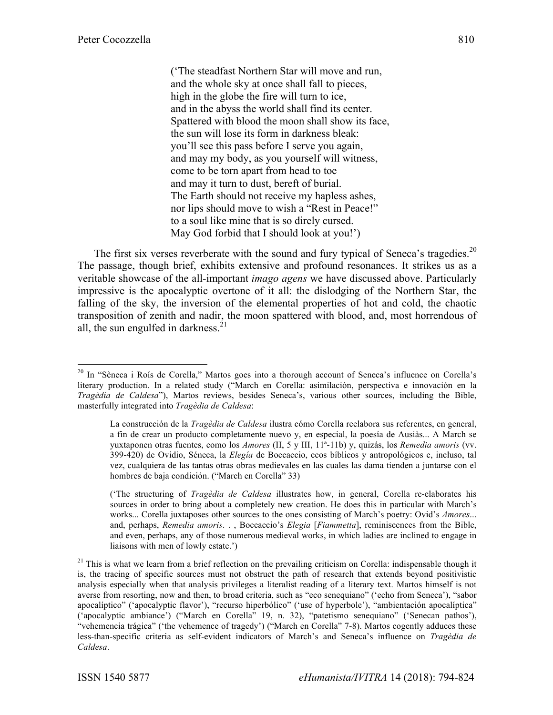('The steadfast Northern Star will move and run, and the whole sky at once shall fall to pieces, high in the globe the fire will turn to ice, and in the abyss the world shall find its center. Spattered with blood the moon shall show its face, the sun will lose its form in darkness bleak: you'll see this pass before I serve you again, and may my body, as you yourself will witness, come to be torn apart from head to toe and may it turn to dust, bereft of burial. The Earth should not receive my hapless ashes, nor lips should move to wish a "Rest in Peace!" to a soul like mine that is so direly cursed. May God forbid that I should look at you!')

The first six verses reverberate with the sound and fury typical of Seneca's tragedies.<sup>20</sup> The passage, though brief, exhibits extensive and profound resonances. It strikes us as a veritable showcase of the all-important *imago agens* we have discussed above. Particularly impressive is the apocalyptic overtone of it all: the dislodging of the Northern Star, the falling of the sky, the inversion of the elemental properties of hot and cold, the chaotic transposition of zenith and nadir, the moon spattered with blood, and, most horrendous of all, the sun engulfed in darkness. $2<sup>1</sup>$ 

<sup>&</sup>lt;sup>20</sup> In "Sèneca i Roís de Corella," Martos goes into a thorough account of Seneca's influence on Corella's literary production. In a related study ("March en Corella: asimilación, perspectiva e innovación en la *Tragèdia de Caldesa*"), Martos reviews, besides Seneca's, various other sources, including the Bible, masterfully integrated into *Tragèdia de Caldesa*:

La construcción de la *Tragèdia de Caldesa* ilustra cómo Corella reelabora sus referentes, en general, a fin de crear un producto completamente nuevo y, en especial, la poesía de Ausiàs... A March se yuxtaponen otras fuentes, como los *Amores* (II, 5 y III, 11ª-11b) y, quizás, los *Remedia amoris* (vv. 399-420) de Ovidio, Séneca, la *Elegía* de Boccaccio, ecos bíblicos y antropológicos e, incluso, tal vez, cualquiera de las tantas otras obras medievales en las cuales las dama tienden a juntarse con el hombres de baja condición. ("March en Corella" 33)

<sup>(&#</sup>x27;The structuring of *Tragèdia de Caldesa* illustrates how, in general, Corella re-elaborates his sources in order to bring about a completely new creation. He does this in particular with March's works... Corella juxtaposes other sources to the ones consisting of March's poetry: Ovid's *Amores*... and, perhaps, *Remedia amoris*. . , Boccaccio's *Elegia* [*Fiammetta*], reminiscences from the Bible, and even, perhaps, any of those numerous medieval works, in which ladies are inclined to engage in liaisons with men of lowly estate.')

<sup>&</sup>lt;sup>21</sup> This is what we learn from a brief reflection on the prevailing criticism on Corella: indispensable though it is, the tracing of specific sources must not obstruct the path of research that extends beyond positivistic analysis especially when that analysis privileges a literalist reading of a literary text. Martos himself is not averse from resorting, now and then, to broad criteria, such as "eco senequiano" ('echo from Seneca'), "sabor apocalíptico" ('apocalyptic flavor'), "recurso hiperbólico" ('use of hyperbole'), "ambientación apocalíptica" ('apocalyptic ambiance') ("March en Corella" 19, n. 32), "patetismo senequiano" ('Senecan pathos'), "vehemencia trágica" ('the vehemence of tragedy') ("March en Corella" 7-8). Martos cogently adduces these less-than-specific criteria as self-evident indicators of March's and Seneca's influence on *Tragèdia de Caldesa*.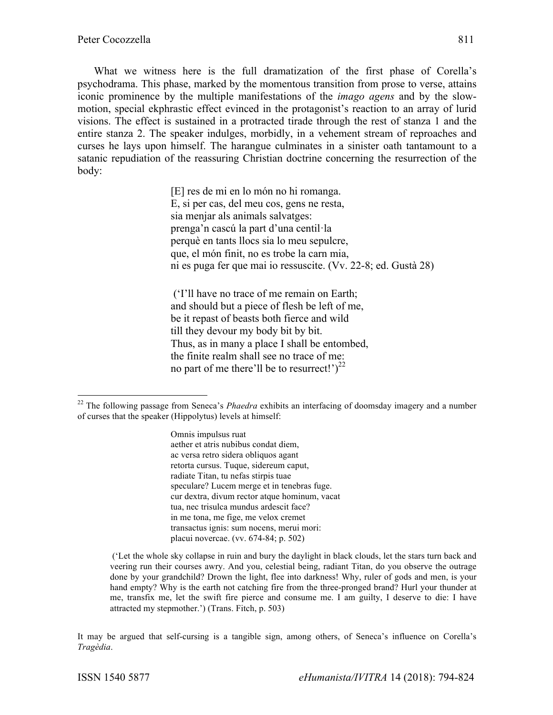What we witness here is the full dramatization of the first phase of Corella's psychodrama. This phase, marked by the momentous transition from prose to verse, attains iconic prominence by the multiple manifestations of the *imago agens* and by the slowmotion, special ekphrastic effect evinced in the protagonist's reaction to an array of lurid visions. The effect is sustained in a protracted tirade through the rest of stanza 1 and the entire stanza 2. The speaker indulges, morbidly, in a vehement stream of reproaches and curses he lays upon himself. The harangue culminates in a sinister oath tantamount to a satanic repudiation of the reassuring Christian doctrine concerning the resurrection of the body:

> [E] res de mi en lo món no hi romanga. E, si per cas, del meu cos, gens ne resta, sia menjar als animals salvatges: prenga'n cascú la part d'una centil·la perquè en tants llocs sia lo meu sepulcre, que, el món finit, no es trobe la carn mia, ni es puga fer que mai io ressuscite. (Vv. 22-8; ed. Gustà 28)

('I'll have no trace of me remain on Earth; and should but a piece of flesh be left of me, be it repast of beasts both fierce and wild till they devour my body bit by bit. Thus, as in many a place I shall be entombed, the finite realm shall see no trace of me: no part of me there'll be to resurrect!' $)^{22}$ 

Omnis impulsus ruat aether et atris nubibus condat diem, ac versa retro sidera obliquos agant retorta cursus. Tuque, sidereum caput, radiate Titan, tu nefas stirpis tuae speculare? Lucem merge et in tenebras fuge. cur dextra, divum rector atque hominum, vacat tua, nec trisulca mundus ardescit face? in me tona, me fige, me velox cremet transactus ignis: sum nocens, merui mori: placui novercae. (vv. 674-84; p. 502)

It may be argued that self-cursing is a tangible sign, among others, of Seneca's influence on Corella's *Tragèdia*.

 <sup>22</sup> The following passage from Seneca's *Phaedra* exhibits an interfacing of doomsday imagery and a number of curses that the speaker (Hippolytus) levels at himself:

<sup>(&#</sup>x27;Let the whole sky collapse in ruin and bury the daylight in black clouds, let the stars turn back and veering run their courses awry. And you, celestial being, radiant Titan, do you observe the outrage done by your grandchild? Drown the light, flee into darkness! Why, ruler of gods and men, is your hand empty? Why is the earth not catching fire from the three-pronged brand? Hurl your thunder at me, transfix me, let the swift fire pierce and consume me. I am guilty, I deserve to die: I have attracted my stepmother.') (Trans. Fitch, p. 503)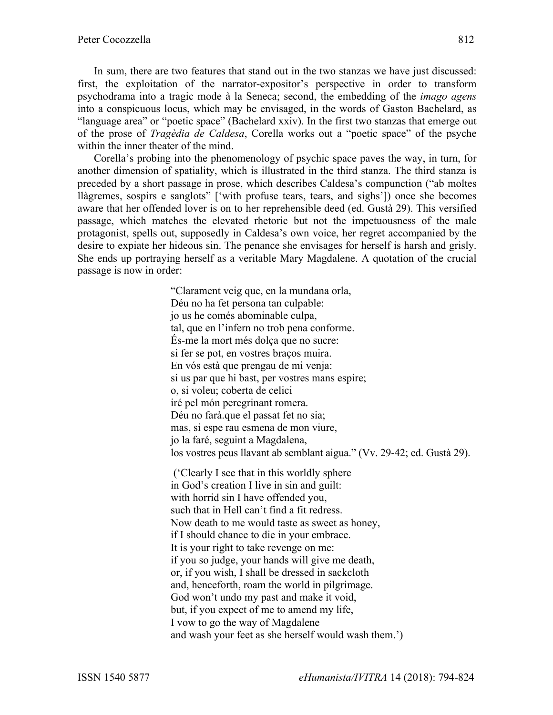In sum, there are two features that stand out in the two stanzas we have just discussed: first, the exploitation of the narrator-expositor's perspective in order to transform psychodrama into a tragic mode à la Seneca; second, the embedding of the *imago agens* into a conspicuous locus, which may be envisaged, in the words of Gaston Bachelard, as "language area" or "poetic space" (Bachelard xxiv). In the first two stanzas that emerge out of the prose of *Tragèdia de Caldesa*, Corella works out a "poetic space" of the psyche within the inner theater of the mind.

Corella's probing into the phenomenology of psychic space paves the way, in turn, for another dimension of spatiality, which is illustrated in the third stanza. The third stanza is preceded by a short passage in prose, which describes Caldesa's compunction ("ab moltes llàgremes, sospirs e sanglots" ['with profuse tears, tears, and sighs']) once she becomes aware that her offended lover is on to her reprehensible deed (ed. Gustà 29). This versified passage, which matches the elevated rhetoric but not the impetuousness of the male protagonist, spells out, supposedly in Caldesa's own voice, her regret accompanied by the desire to expiate her hideous sin. The penance she envisages for herself is harsh and grisly. She ends up portraying herself as a veritable Mary Magdalene. A quotation of the crucial passage is now in order:

> "Clarament veig que, en la mundana orla, Déu no ha fet persona tan culpable: jo us he comés abominable culpa, tal, que en l'infern no trob pena conforme. És-me la mort més dolça que no sucre: si fer se pot, en vostres braços muira. En vós està que prengau de mi venja: si us par que hi bast, per vostres mans espire; o, si voleu; coberta de celici iré pel món peregrinant romera. Déu no farà.que el passat fet no sia; mas, si espe rau esmena de mon viure, jo la faré, seguint a Magdalena, los vostres peus llavant ab semblant aigua." (Vv. 29-42; ed. Gustà 29). ('Clearly I see that in this worldly sphere in God's creation I live in sin and guilt: with horrid sin I have offended you, such that in Hell can't find a fit redress. Now death to me would taste as sweet as honey, if I should chance to die in your embrace. It is your right to take revenge on me: if you so judge, your hands will give me death, or, if you wish, I shall be dressed in sackcloth and, henceforth, roam the world in pilgrimage. God won't undo my past and make it void, but, if you expect of me to amend my life,

I vow to go the way of Magdalene

and wash your feet as she herself would wash them.')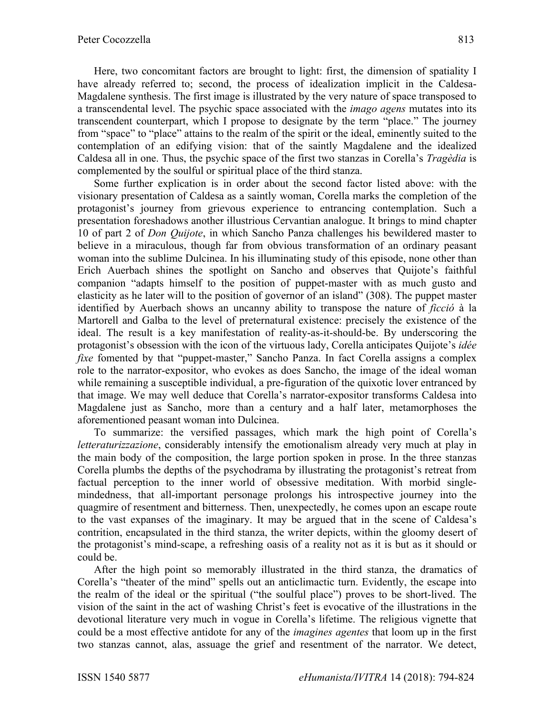Here, two concomitant factors are brought to light: first, the dimension of spatiality I have already referred to; second, the process of idealization implicit in the Caldesa-Magdalene synthesis. The first image is illustrated by the very nature of space transposed to a transcendental level. The psychic space associated with the *imago agens* mutates into its transcendent counterpart, which I propose to designate by the term "place." The journey from "space" to "place" attains to the realm of the spirit or the ideal, eminently suited to the contemplation of an edifying vision: that of the saintly Magdalene and the idealized Caldesa all in one. Thus, the psychic space of the first two stanzas in Corella's *Tragèdia* is complemented by the soulful or spiritual place of the third stanza.

Some further explication is in order about the second factor listed above: with the visionary presentation of Caldesa as a saintly woman, Corella marks the completion of the protagonist's journey from grievous experience to entrancing contemplation. Such a presentation foreshadows another illustrious Cervantian analogue. It brings to mind chapter 10 of part 2 of *Don Quijote*, in which Sancho Panza challenges his bewildered master to believe in a miraculous, though far from obvious transformation of an ordinary peasant woman into the sublime Dulcinea. In his illuminating study of this episode, none other than Erich Auerbach shines the spotlight on Sancho and observes that Quijote's faithful companion "adapts himself to the position of puppet-master with as much gusto and elasticity as he later will to the position of governor of an island" (308). The puppet master identified by Auerbach shows an uncanny ability to transpose the nature of *ficció* à la Martorell and Galba to the level of preternatural existence: precisely the existence of the ideal. The result is a key manifestation of reality-as-it-should-be. By underscoring the protagonist's obsession with the icon of the virtuous lady, Corella anticipates Quijote's *idée fixe* fomented by that "puppet-master," Sancho Panza. In fact Corella assigns a complex role to the narrator-expositor, who evokes as does Sancho, the image of the ideal woman while remaining a susceptible individual, a pre-figuration of the quixotic lover entranced by that image. We may well deduce that Corella's narrator-expositor transforms Caldesa into Magdalene just as Sancho, more than a century and a half later, metamorphoses the aforementioned peasant woman into Dulcinea.

To summarize: the versified passages, which mark the high point of Corella's *letteraturizzazione*, considerably intensify the emotionalism already very much at play in the main body of the composition, the large portion spoken in prose. In the three stanzas Corella plumbs the depths of the psychodrama by illustrating the protagonist's retreat from factual perception to the inner world of obsessive meditation. With morbid singlemindedness, that all-important personage prolongs his introspective journey into the quagmire of resentment and bitterness. Then, unexpectedly, he comes upon an escape route to the vast expanses of the imaginary. It may be argued that in the scene of Caldesa's contrition, encapsulated in the third stanza, the writer depicts, within the gloomy desert of the protagonist's mind-scape, a refreshing oasis of a reality not as it is but as it should or could be.

After the high point so memorably illustrated in the third stanza, the dramatics of Corella's "theater of the mind" spells out an anticlimactic turn. Evidently, the escape into the realm of the ideal or the spiritual ("the soulful place") proves to be short-lived. The vision of the saint in the act of washing Christ's feet is evocative of the illustrations in the devotional literature very much in vogue in Corella's lifetime. The religious vignette that could be a most effective antidote for any of the *imagines agentes* that loom up in the first two stanzas cannot, alas, assuage the grief and resentment of the narrator. We detect,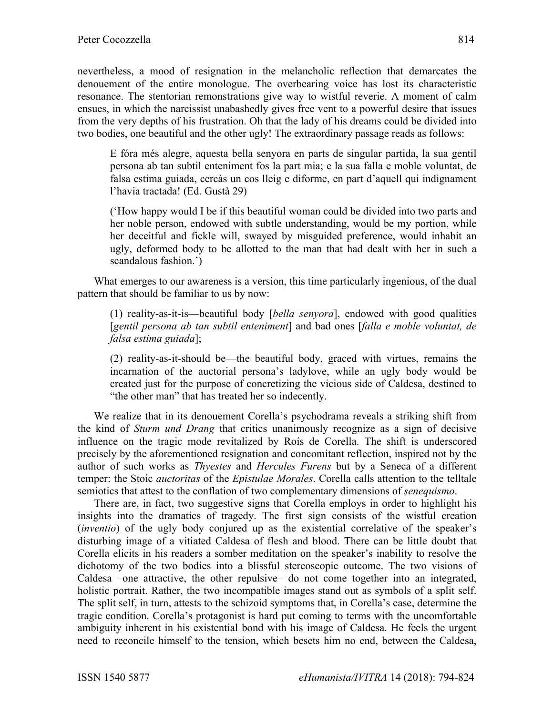nevertheless, a mood of resignation in the melancholic reflection that demarcates the denouement of the entire monologue. The overbearing voice has lost its characteristic resonance. The stentorian remonstrations give way to wistful reverie. A moment of calm ensues, in which the narcissist unabashedly gives free vent to a powerful desire that issues from the very depths of his frustration. Oh that the lady of his dreams could be divided into two bodies, one beautiful and the other ugly! The extraordinary passage reads as follows:

E fóra més alegre, aquesta bella senyora en parts de singular partida, la sua gentil persona ab tan subtil enteniment fos la part mia; e la sua falla e moble voluntat, de falsa estima guiada, cercàs un cos lleig e diforme, en part d'aquell qui indignament l'havia tractada! (Ed. Gustà 29)

('How happy would I be if this beautiful woman could be divided into two parts and her noble person, endowed with subtle understanding, would be my portion, while her deceitful and fickle will, swayed by misguided preference, would inhabit an ugly, deformed body to be allotted to the man that had dealt with her in such a scandalous fashion.')

What emerges to our awareness is a version, this time particularly ingenious, of the dual pattern that should be familiar to us by now:

(1) reality-as-it-is—beautiful body [*bella senyora*], endowed with good qualities [*gentil persona ab tan subtil enteniment*] and bad ones [*falla e moble voluntat, de falsa estima guiada*];

(2) reality-as-it-should be—the beautiful body, graced with virtues, remains the incarnation of the auctorial persona's ladylove, while an ugly body would be created just for the purpose of concretizing the vicious side of Caldesa, destined to "the other man" that has treated her so indecently.

We realize that in its denouement Corella's psychodrama reveals a striking shift from the kind of *Sturm und Drang* that critics unanimously recognize as a sign of decisive influence on the tragic mode revitalized by Roís de Corella. The shift is underscored precisely by the aforementioned resignation and concomitant reflection, inspired not by the author of such works as *Thyestes* and *Hercules Furens* but by a Seneca of a different temper: the Stoic *auctoritas* of the *Epistulae Morales*. Corella calls attention to the telltale semiotics that attest to the conflation of two complementary dimensions of *senequismo*.

There are, in fact, two suggestive signs that Corella employs in order to highlight his insights into the dramatics of tragedy. The first sign consists of the wistful creation (*inventio*) of the ugly body conjured up as the existential correlative of the speaker's disturbing image of a vitiated Caldesa of flesh and blood. There can be little doubt that Corella elicits in his readers a somber meditation on the speaker's inability to resolve the dichotomy of the two bodies into a blissful stereoscopic outcome. The two visions of Caldesa –one attractive, the other repulsive– do not come together into an integrated, holistic portrait. Rather, the two incompatible images stand out as symbols of a split self. The split self, in turn, attests to the schizoid symptoms that, in Corella's case, determine the tragic condition. Corella's protagonist is hard put coming to terms with the uncomfortable ambiguity inherent in his existential bond with his image of Caldesa. He feels the urgent need to reconcile himself to the tension, which besets him no end, between the Caldesa,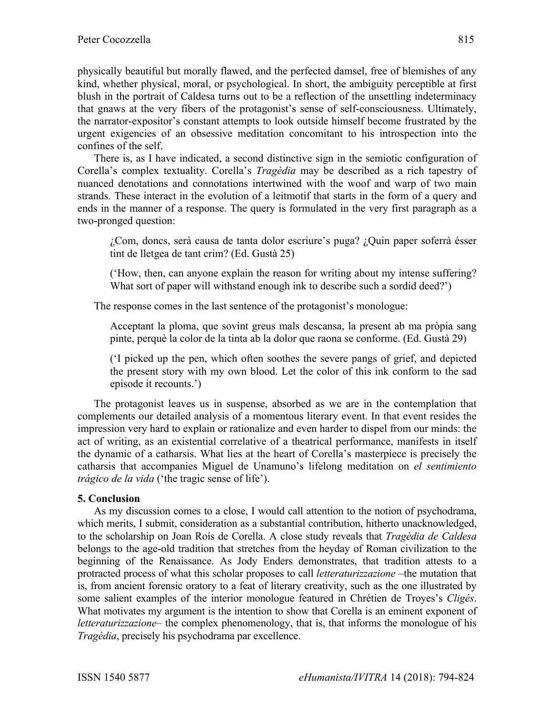physically beautiful but morally flawed, and the perfected damsel, free of blemishes of any kind, whether physical, moral, or psychological. In short, the ambiguity perceptible at first blush in the portrait of Caldesa turns out to be a reflection of the unsettling indeterminacy that gnaws at the very fibers of the protagonist's sense of self-consciousness. Ultimately, the narrator-expositor's constant attempts to look outside himself become frustrated by the urgent exigencies of an obsessive meditation concomitant to his introspection into the confines of the self.

There is, as I have indicated, a second distinctive sign in the semiotic configuration of Corella's complex textuality. Corella's *Tragèdia* may be described as a rich tapestry of nuanced denotations and connotations intertwined with the woof and warp of two main strands. These interact in the evolution of a leitmotif that starts in the form of a query and ends in the manner of a response. The query is formulated in the very first paragraph as a two-pronged question:

¿Com, doncs, serà causa de tanta dolor escriure's puga? ¿Quin paper soferrà ésser tint de lletgea de tant crim? (Ed. Gustà 25)

('How, then, can anyone explain the reason for writing about my intense suffering? What sort of paper will withstand enough ink to describe such a sordid deed?')

The response comes in the last sentence of the protagonist's monologue:

Acceptant la ploma, que sovint greus mals descansa, la present ab ma pròpia sang pinte, perquè la color de la tinta ab la dolor que raona se conforme. (Ed. Gustà 29)

('I picked up the pen, which often soothes the severe pangs of grief, and depicted the present story with my own blood. Let the color of this ink conform to the sad episode it recounts.')

The protagonist leaves us in suspense, absorbed as we are in the contemplation that complements our detailed analysis of a momentous literary event. In that event resides the impression very hard to explain or rationalize and even harder to dispel from our minds: the act of writing, as an existential correlative of a theatrical performance, manifests in itself the dynamic of a catharsis. What lies at the heart of Corella's masterpiece is precisely the catharsis that accompanies Miguel de Unamuno's lifelong meditation on *el sentimiento trágico de la vida* ('the tragic sense of life').

## **5. Conclusion**

As my discussion comes to a close, I would call attention to the notion of psychodrama, which merits, I submit, consideration as a substantial contribution, hitherto unacknowledged, to the scholarship on Joan Roís de Corella. A close study reveals that *Tragèdia de Caldesa* belongs to the age-old tradition that stretches from the heyday of Roman civilization to the beginning of the Renaissance. As Jody Enders demonstrates, that tradition attests to a protracted process of what this scholar proposes to call *letteraturizzazione* –the mutation that is, from ancient forensic oratory to a feat of literary creativity, such as the one illustrated by some salient examples of the interior monologue featured in Chrétien de Troyes's *Cligés*. What motivates my argument is the intention to show that Corella is an eminent exponent of *letteraturizzazione*– the complex phenomenology, that is, that informs the monologue of his *Tragèdia*, precisely his psychodrama par excellence.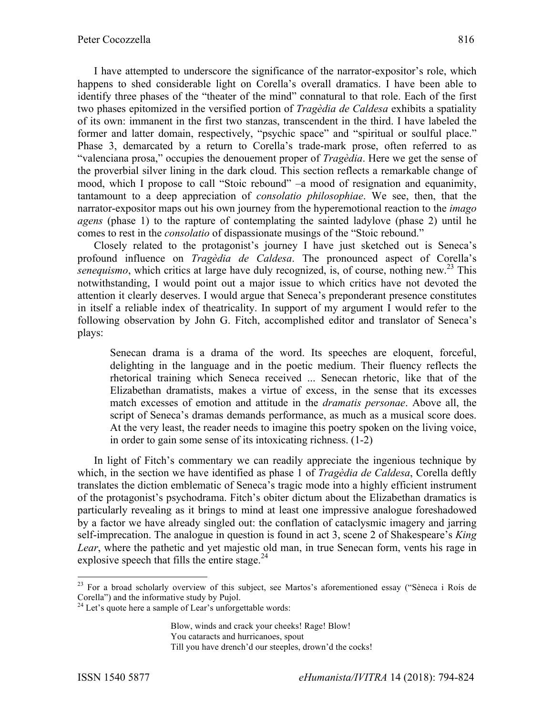I have attempted to underscore the significance of the narrator-expositor's role, which happens to shed considerable light on Corella's overall dramatics. I have been able to identify three phases of the "theater of the mind" connatural to that role. Each of the first two phases epitomized in the versified portion of *Tragèdia de Caldesa* exhibits a spatiality of its own: immanent in the first two stanzas, transcendent in the third. I have labeled the former and latter domain, respectively, "psychic space" and "spiritual or soulful place." Phase 3, demarcated by a return to Corella's trade-mark prose, often referred to as "valenciana prosa," occupies the denouement proper of *Tragèdia*. Here we get the sense of the proverbial silver lining in the dark cloud. This section reflects a remarkable change of mood, which I propose to call "Stoic rebound" –a mood of resignation and equanimity, tantamount to a deep appreciation of *consolatio philosophiae*. We see, then, that the narrator-expositor maps out his own journey from the hyperemotional reaction to the *imago agens* (phase 1) to the rapture of contemplating the sainted ladylove (phase 2) until he comes to rest in the *consolatio* of dispassionate musings of the "Stoic rebound."

Closely related to the protagonist's journey I have just sketched out is Seneca's profound influence on *Tragèdia de Caldesa*. The pronounced aspect of Corella's *senequismo*, which critics at large have duly recognized, is, of course, nothing new.<sup>23</sup> This notwithstanding, I would point out a major issue to which critics have not devoted the attention it clearly deserves. I would argue that Seneca's preponderant presence constitutes in itself a reliable index of theatricality. In support of my argument I would refer to the following observation by John G. Fitch, accomplished editor and translator of Seneca's plays:

Senecan drama is a drama of the word. Its speeches are eloquent, forceful, delighting in the language and in the poetic medium. Their fluency reflects the rhetorical training which Seneca received ... Senecan rhetoric, like that of the Elizabethan dramatists, makes a virtue of excess, in the sense that its excesses match excesses of emotion and attitude in the *dramatis personae*. Above all, the script of Seneca's dramas demands performance, as much as a musical score does. At the very least, the reader needs to imagine this poetry spoken on the living voice, in order to gain some sense of its intoxicating richness. (1-2)

In light of Fitch's commentary we can readily appreciate the ingenious technique by which, in the section we have identified as phase 1 of *Tragèdia de Caldesa*, Corella deftly translates the diction emblematic of Seneca's tragic mode into a highly efficient instrument of the protagonist's psychodrama. Fitch's obiter dictum about the Elizabethan dramatics is particularly revealing as it brings to mind at least one impressive analogue foreshadowed by a factor we have already singled out: the conflation of cataclysmic imagery and jarring self-imprecation. The analogue in question is found in act 3, scene 2 of Shakespeare's *King Lear*, where the pathetic and yet majestic old man, in true Senecan form, vents his rage in explosive speech that fills the entire stage. $^{24}$ 

Blow, winds and crack your cheeks! Rage! Blow!

<sup>&</sup>lt;sup>23</sup> For a broad scholarly overview of this subject, see Martos's aforementioned essay ("Sèneca i Roís de Corella") and the informative study by Pujol.<br><sup>24</sup> Let's quote here a sample of Lear's unforgettable words:

You cataracts and hurricanoes, spout

Till you have drench'd our steeples, drown'd the cocks!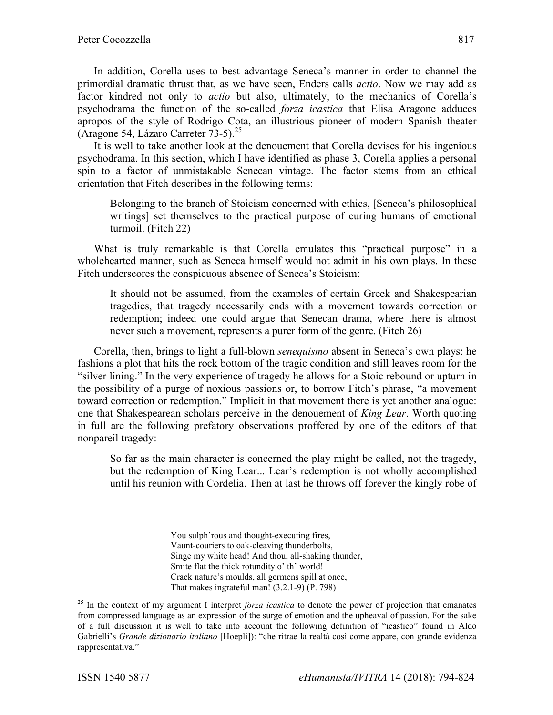In addition, Corella uses to best advantage Seneca's manner in order to channel the primordial dramatic thrust that, as we have seen, Enders calls *actio*. Now we may add as factor kindred not only to *actio* but also, ultimately, to the mechanics of Corella's psychodrama the function of the so-called *forza icastica* that Elisa Aragone adduces apropos of the style of Rodrigo Cota, an illustrious pioneer of modern Spanish theater (Aragone 54, Lázaro Carreter  $73-5$ ).<sup>25</sup>

It is well to take another look at the denouement that Corella devises for his ingenious psychodrama. In this section, which I have identified as phase 3, Corella applies a personal spin to a factor of unmistakable Senecan vintage. The factor stems from an ethical orientation that Fitch describes in the following terms:

Belonging to the branch of Stoicism concerned with ethics, [Seneca's philosophical writings] set themselves to the practical purpose of curing humans of emotional turmoil. (Fitch 22)

What is truly remarkable is that Corella emulates this "practical purpose" in a wholehearted manner, such as Seneca himself would not admit in his own plays. In these Fitch underscores the conspicuous absence of Seneca's Stoicism:

It should not be assumed, from the examples of certain Greek and Shakespearian tragedies, that tragedy necessarily ends with a movement towards correction or redemption; indeed one could argue that Senecan drama, where there is almost never such a movement, represents a purer form of the genre. (Fitch 26)

Corella, then, brings to light a full-blown *senequismo* absent in Seneca's own plays: he fashions a plot that hits the rock bottom of the tragic condition and still leaves room for the "silver lining." In the very experience of tragedy he allows for a Stoic rebound or upturn in the possibility of a purge of noxious passions or, to borrow Fitch's phrase, "a movement toward correction or redemption." Implicit in that movement there is yet another analogue: one that Shakespearean scholars perceive in the denouement of *King Lear*. Worth quoting in full are the following prefatory observations proffered by one of the editors of that nonpareil tragedy:

So far as the main character is concerned the play might be called, not the tragedy, but the redemption of King Lear... Lear's redemption is not wholly accomplished until his reunion with Cordelia. Then at last he throws off forever the kingly robe of

> You sulph'rous and thought-executing fires, Vaunt-couriers to oak-cleaving thunderbolts, Singe my white head! And thou, all-shaking thunder, Smite flat the thick rotundity o' th' world! Crack nature's moulds, all germens spill at once, That makes ingrateful man! (3.2.1-9) (P. 798)

<sup>&</sup>lt;sup>25</sup> In the context of my argument I interpret *forza icastica* to denote the power of projection that emanates from compressed language as an expression of the surge of emotion and the upheaval of passion. For the sake of a full discussion it is well to take into account the following definition of "icastico" found in Aldo Gabrielli's *Grande dizionario italiano* [Hoepli]): "che ritrae la realtà così come appare, con grande evidenza rappresentativa."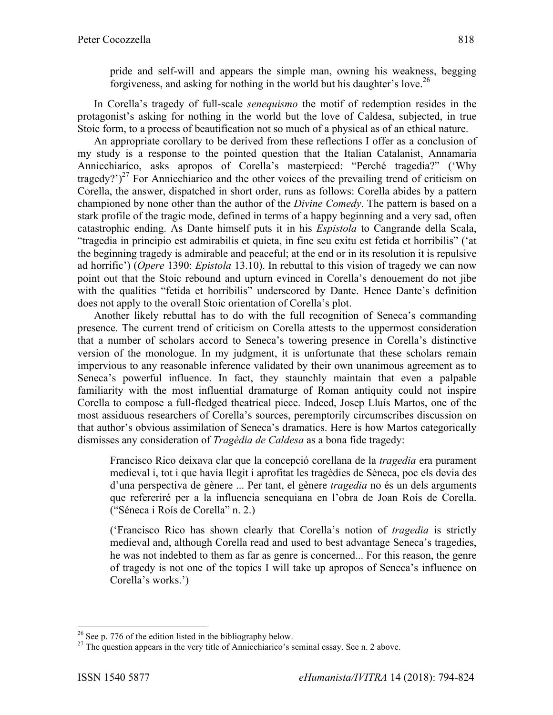pride and self-will and appears the simple man, owning his weakness, begging forgiveness, and asking for nothing in the world but his daughter's love.<sup>26</sup>

In Corella's tragedy of full-scale *senequismo* the motif of redemption resides in the protagonist's asking for nothing in the world but the love of Caldesa, subjected, in true Stoic form, to a process of beautification not so much of a physical as of an ethical nature.

An appropriate corollary to be derived from these reflections I offer as a conclusion of my study is a response to the pointed question that the Italian Catalanist, Annamaria Annicchiarico, asks apropos of Corella's masterpiecd: "Perché tragedia?" ('Why tragedy?')<sup>27</sup> For Annicchiarico and the other voices of the prevailing trend of criticism on Corella, the answer, dispatched in short order, runs as follows: Corella abides by a pattern championed by none other than the author of the *Divine Comedy*. The pattern is based on a stark profile of the tragic mode, defined in terms of a happy beginning and a very sad, often catastrophic ending. As Dante himself puts it in his *Espistola* to Cangrande della Scala, "tragedia in principio est admirabilis et quieta, in fine seu exitu est fetida et horribilis" ('at the beginning tragedy is admirable and peaceful; at the end or in its resolution it is repulsive ad horrific') (*Opere* 1390: *Epistola* 13.10). In rebuttal to this vision of tragedy we can now point out that the Stoic rebound and upturn evinced in Corella's denouement do not jibe with the qualities "fetida et horribilis" underscored by Dante. Hence Dante's definition does not apply to the overall Stoic orientation of Corella's plot.

Another likely rebuttal has to do with the full recognition of Seneca's commanding presence. The current trend of criticism on Corella attests to the uppermost consideration that a number of scholars accord to Seneca's towering presence in Corella's distinctive version of the monologue. In my judgment, it is unfortunate that these scholars remain impervious to any reasonable inference validated by their own unanimous agreement as to Seneca's powerful influence. In fact, they staunchly maintain that even a palpable familiarity with the most influential dramaturge of Roman antiquity could not inspire Corella to compose a full-fledged theatrical piece. Indeed, Josep Lluís Martos, one of the most assiduous researchers of Corella's sources, peremptorily circumscribes discussion on that author's obvious assimilation of Seneca's dramatics. Here is how Martos categorically dismisses any consideration of *Tragèdia de Caldesa* as a bona fide tragedy:

Francisco Rico deixava clar que la concepció corellana de la *tragedia* era purament medieval i, tot i que havia llegit i aprofitat les tragèdies de Sèneca, poc els devia des d'una perspectiva de gènere ... Per tant, el gènere *tragedia* no és un dels arguments que refereriré per a la influencia senequiana en l'obra de Joan Roís de Corella. ("Séneca i Roís de Corella" n. 2.)

('Francisco Rico has shown clearly that Corella's notion of *tragedia* is strictly medieval and, although Corella read and used to best advantage Seneca's tragedies, he was not indebted to them as far as genre is concerned... For this reason, the genre of tragedy is not one of the topics I will take up apropos of Seneca's influence on Corella's works.')

<sup>&</sup>lt;sup>26</sup> See p. 776 of the edition listed in the bibliography below.<br><sup>27</sup> The question appears in the very title of Annicchiarico's seminal essay. See n. 2 above.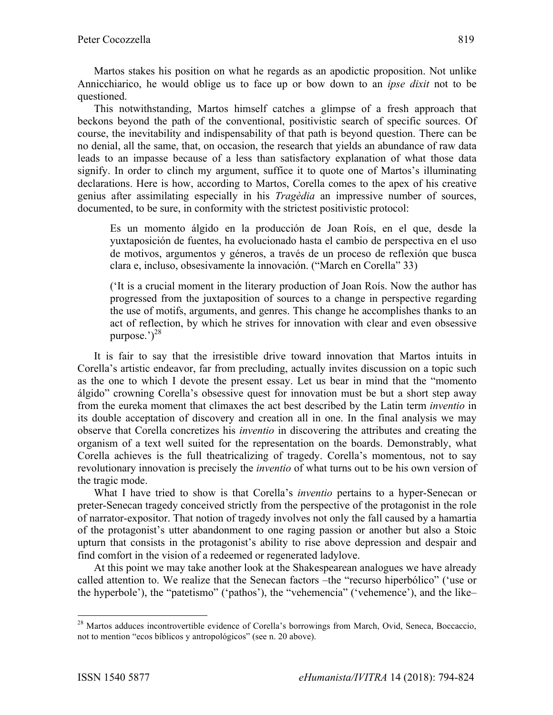Martos stakes his position on what he regards as an apodictic proposition. Not unlike Annicchiarico, he would oblige us to face up or bow down to an *ipse dixit* not to be questioned.

This notwithstanding, Martos himself catches a glimpse of a fresh approach that beckons beyond the path of the conventional, positivistic search of specific sources. Of course, the inevitability and indispensability of that path is beyond question. There can be no denial, all the same, that, on occasion, the research that yields an abundance of raw data leads to an impasse because of a less than satisfactory explanation of what those data signify. In order to clinch my argument, suffice it to quote one of Martos's illuminating declarations. Here is how, according to Martos, Corella comes to the apex of his creative genius after assimilating especially in his *Tragèdia* an impressive number of sources, documented, to be sure, in conformity with the strictest positivistic protocol:

Es un momento álgido en la producción de Joan Roís, en el que, desde la yuxtaposición de fuentes, ha evolucionado hasta el cambio de perspectiva en el uso de motivos, argumentos y géneros, a través de un proceso de reflexión que busca clara e, incluso, obsesivamente la innovación. ("March en Corella" 33)

('It is a crucial moment in the literary production of Joan Roís. Now the author has progressed from the juxtaposition of sources to a change in perspective regarding the use of motifs, arguments, and genres. This change he accomplishes thanks to an act of reflection, by which he strives for innovation with clear and even obsessive purpose.' $)^{28}$ 

It is fair to say that the irresistible drive toward innovation that Martos intuits in Corella's artistic endeavor, far from precluding, actually invites discussion on a topic such as the one to which I devote the present essay. Let us bear in mind that the "momento álgido" crowning Corella's obsessive quest for innovation must be but a short step away from the eureka moment that climaxes the act best described by the Latin term *inventio* in its double acceptation of discovery and creation all in one. In the final analysis we may observe that Corella concretizes his *inventio* in discovering the attributes and creating the organism of a text well suited for the representation on the boards. Demonstrably, what Corella achieves is the full theatricalizing of tragedy. Corella's momentous, not to say revolutionary innovation is precisely the *inventio* of what turns out to be his own version of the tragic mode.

What I have tried to show is that Corella's *inventio* pertains to a hyper-Senecan or preter-Senecan tragedy conceived strictly from the perspective of the protagonist in the role of narrator-expositor. That notion of tragedy involves not only the fall caused by a hamartia of the protagonist's utter abandonment to one raging passion or another but also a Stoic upturn that consists in the protagonist's ability to rise above depression and despair and find comfort in the vision of a redeemed or regenerated ladylove.

At this point we may take another look at the Shakespearean analogues we have already called attention to. We realize that the Senecan factors –the "recurso hiperbólico" ('use or the hyperbole'), the "patetismo" ('pathos'), the "vehemencia" ('vehemence'), and the like–

<sup>&</sup>lt;sup>28</sup> Martos adduces incontrovertible evidence of Corella's borrowings from March, Ovid, Seneca, Boccaccio, not to mention "ecos bíblicos y antropológicos" (see n. 20 above).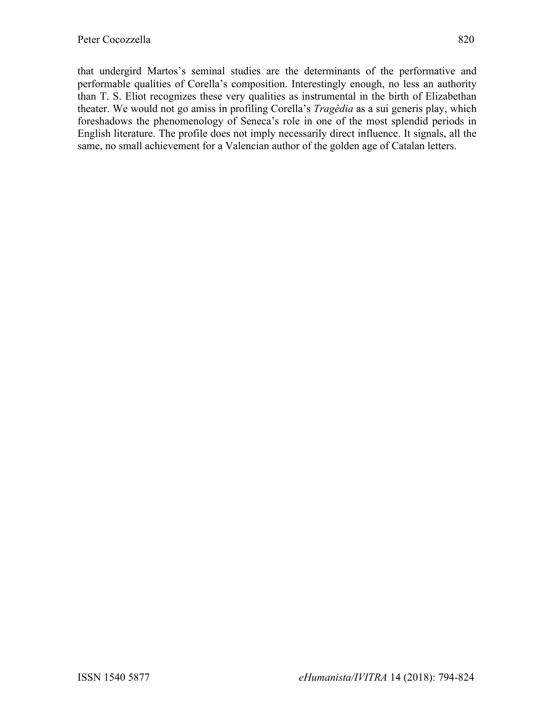that undergird Martos's seminal studies are the determinants of the performative and performable qualities of Corella's composition. Interestingly enough, no less an authority than T. S. Eliot recognizes these very qualities as instrumental in the birth of Elizabethan theater. We would not go amiss in profiling Corella's *Tragèdia* as a sui generis play, which foreshadows the phenomenology of Seneca's role in one of the most splendid periods in English literature. The profile does not imply necessarily direct influence. It signals, all the same, no small achievement for a Valencian author of the golden age of Catalan letters.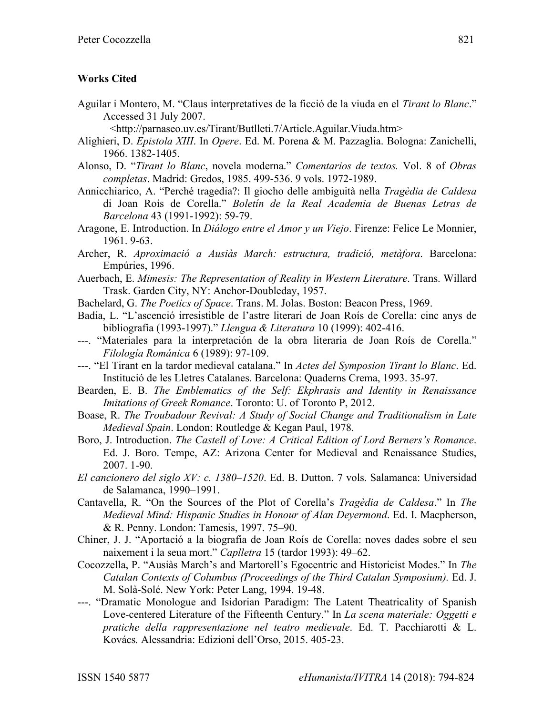### **Works Cited**

Aguilar i Montero, M. "Claus interpretatives de la ficció de la viuda en el *Tirant lo Blanc*." Accessed 31 July 2007.

<http://parnaseo.uv.es/Tirant/Butlleti.7/Article.Aguilar.Viuda.htm>

- Alighieri, D. *Epistola XIII*. In *Opere*. Ed. M. Porena & M. Pazzaglia. Bologna: Zanichelli, 1966. 1382-1405.
- Alonso, D. "*Tirant lo Blanc*, novela moderna." *Comentarios de textos.* Vol. 8 of *Obras completas*. Madrid: Gredos, 1985. 499-536. 9 vols. 1972-1989.
- Annicchiarico, A. "Perché tragedia?: Il giocho delle ambiguità nella *Tragèdia de Caldesa* di Joan Roís de Corella." *Boletín de la Real Academia de Buenas Letras de Barcelona* 43 (1991-1992): 59-79.
- Aragone, E. Introduction. In *Diálogo entre el Amor y un Viejo*. Firenze: Felice Le Monnier, 1961. 9-63.
- Archer, R. *Aproximació a Ausiàs March: estructura, tradició, metàfora*. Barcelona: Empúries, 1996.
- Auerbach, E. *Mimesis: The Representation of Reality in Western Literature*. Trans. Willard Trask. Garden City, NY: Anchor-Doubleday, 1957.
- Bachelard, G. *The Poetics of Space*. Trans. M. Jolas. Boston: Beacon Press, 1969.
- Badia, L. "L'ascenció irresistible de l'astre literari de Joan Roís de Corella: cinc anys de bibliografía (1993-1997)." *Llengua & Literatura* 10 (1999): 402-416.
- ---. "Materiales para la interpretación de la obra literaria de Joan Roís de Corella." *Filología Románica* 6 (1989): 97-109.
- ---. "El Tirant en la tardor medieval catalana." In *Actes del Symposion Tirant lo Blanc*. Ed. Institució de les Lletres Catalanes. Barcelona: Quaderns Crema, 1993. 35-97.
- Bearden, E. B. *The Emblematics of the Self: Ekphrasis and Identity in Renaissance Imitations of Greek Romance*. Toronto: U. of Toronto P, 2012.
- Boase, R. *The Troubadour Revival: A Study of Social Change and Traditionalism in Late Medieval Spain*. London: Routledge & Kegan Paul, 1978.
- Boro, J. Introduction. *The Castell of Love: A Critical Edition of Lord Berners's Romance*. Ed. J. Boro. Tempe, AZ: Arizona Center for Medieval and Renaissance Studies, 2007. 1-90.
- *El cancionero del siglo XV: c. 1380–1520*. Ed. B. Dutton. 7 vols. Salamanca: Universidad de Salamanca, 1990–1991.
- Cantavella, R. "On the Sources of the Plot of Corella's *Tragèdia de Caldesa*." In *The Medieval Mind: Hispanic Studies in Honour of Alan Deyermond*. Ed. I. Macpherson, & R. Penny. London: Tamesis, 1997. 75–90.
- Chiner, J. J. "Aportació a la biografia de Joan Roís de Corella: noves dades sobre el seu naixement i la seua mort." *Caplletra* 15 (tardor 1993): 49–62.
- Cocozzella, P. "Ausiàs March's and Martorell's Egocentric and Historicist Modes." In *The Catalan Contexts of Columbus (Proceedings of the Third Catalan Symposium).* Ed. J. M. Solà-Solé. New York: Peter Lang, 1994. 19-48.
- ---. "Dramatic Monologue and Isidorian Paradigm: The Latent Theatricality of Spanish Love-centered Literature of the Fifteenth Century." In *La scena materiale: Oggetti e pratiche della rappresentazione nel teatro medievale*. Ed. T. Pacchiarotti & L. Kovács*.* Alessandria: Edizioni dell'Orso, 2015. 405-23.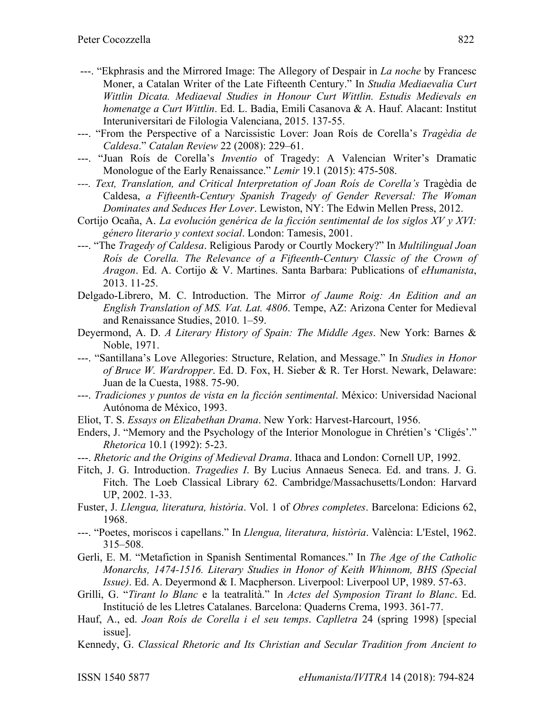- ---. "Ekphrasis and the Mirrored Image: The Allegory of Despair in *La noche* by Francesc Moner, a Catalan Writer of the Late Fifteenth Century." In *Studia Mediaevalia Curt Wittlin Dicata. Mediaeval Studies in Honour Curt Wittlin. Estudis Medievals en homenatge a Curt Wittlin*. Ed. L. Badia, Emili Casanova & A. Hauf. Alacant: Institut Interuniversitari de Filologia Valenciana, 2015. 137-55.
- ---. "From the Perspective of a Narcissistic Lover: Joan Roís de Corella's *Tragèdia de Caldesa*." *Catalan Review* 22 (2008): 229–61.
- ---. "Juan Roís de Corella's *Inventio* of Tragedy: A Valencian Writer's Dramatic Monologue of the Early Renaissance." *Lemir* 19.1 (2015): 475-508.
- *---. Text, Translation, and Critical Interpretation of Joan Roís de Corella's* Tragèdia de Caldesa, *a Fifteenth-Century Spanish Tragedy of Gender Reversal: The Woman Dominates and Seduces Her Lover*. Lewiston, NY: The Edwin Mellen Press, 2012.
- Cortijo Ocaña, A. *La evolución genérica de la ficción sentimental de los siglos XV y XVI: género literario y context social*. London: Tamesis, 2001.
- ---. "The *Tragedy of Caldesa*. Religious Parody or Courtly Mockery?" In *Multilingual Joan Roís de Corella. The Relevance of a Fifteenth-Century Classic of the Crown of Aragon*. Ed. A. Cortijo & V. Martines. Santa Barbara: Publications of *eHumanista*, 2013. 11-25.
- Delgado-Librero, M. C. Introduction. The Mirror *of Jaume Roig: An Edition and an English Translation of MS. Vat. Lat. 4806*. Tempe, AZ: Arizona Center for Medieval and Renaissance Studies, 2010. 1–59.
- Deyermond, A. D. *A Literary History of Spain: The Middle Ages*. New York: Barnes & Noble, 1971.
- ---. "Santillana's Love Allegories: Structure, Relation, and Message." In *Studies in Honor of Bruce W. Wardropper*. Ed. D. Fox, H. Sieber & R. Ter Horst. Newark, Delaware: Juan de la Cuesta, 1988. 75-90.
- ---. *Tradiciones y puntos de vista en la ficción sentimental*. México: Universidad Nacional Autónoma de México, 1993.
- Eliot, T. S. *Essays on Elizabethan Drama*. New York: Harvest-Harcourt, 1956.
- Enders, J. "Memory and the Psychology of the Interior Monologue in Chrétien's 'Cligés'." *Rhetorica* 10.1 (1992): 5-23.
- ---. *Rhetoric and the Origins of Medieval Drama*. Ithaca and London: Cornell UP, 1992.
- Fitch, J. G. Introduction. *Tragedies I*. By Lucius Annaeus Seneca. Ed. and trans. J. G. Fitch. The Loeb Classical Library 62. Cambridge/Massachusetts/London: Harvard UP, 2002. 1-33.
- Fuster, J. *Llengua, literatura, història*. Vol. 1 of *Obres completes*. Barcelona: Edicions 62, 1968.
- ---. "Poetes, moriscos i capellans." In *Llengua, literatura, història*. València: L'Estel, 1962. 315–508.
- Gerli, E. M. "Metafiction in Spanish Sentimental Romances." In *The Age of the Catholic Monarchs, 1474-1516. Literary Studies in Honor of Keith Whinnom, BHS (Special Issue)*. Ed. A. Deyermond & I. Macpherson. Liverpool: Liverpool UP, 1989. 57-63.
- Grilli, G. "*Tirant lo Blanc* e la teatralità." In *Actes del Symposion Tirant lo Blanc*. Ed. Institució de les Lletres Catalanes. Barcelona: Quaderns Crema, 1993. 361-77.
- Hauf, A., ed. *Joan Roís de Corella i el seu temps*. *Caplletra* 24 (spring 1998) [special issue].
- Kennedy, G. *Classical Rhetoric and Its Christian and Secular Tradition from Ancient to*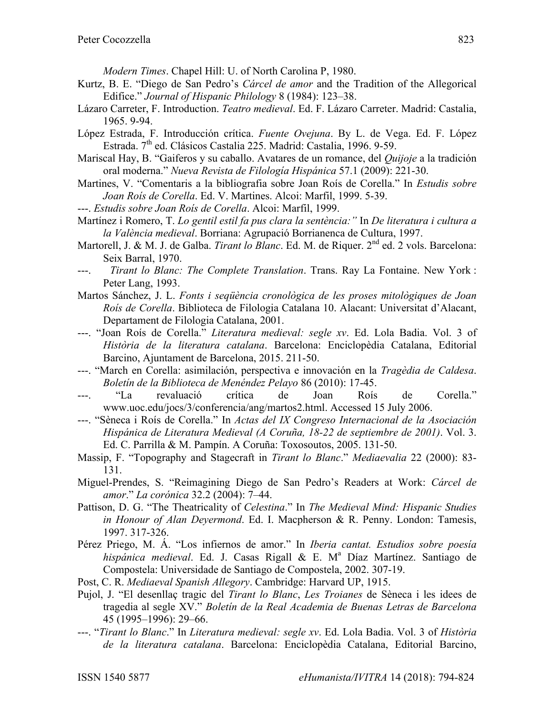*Modern Times*. Chapel Hill: U. of North Carolina P, 1980.

- Kurtz, B. E. "Diego de San Pedro's *Cárcel de amor* and the Tradition of the Allegorical Edifice." *Journal of Hispanic Philology* 8 (1984): 123–38.
- Lázaro Carreter, F. Introduction. *Teatro medieval*. Ed. F. Lázaro Carreter. Madrid: Castalia, 1965. 9-94.
- López Estrada, F. Introducción crítica. *Fuente Ovejuna*. By L. de Vega. Ed. F. López Estrada. 7<sup>th</sup> ed. Clásicos Castalia 225. Madrid: Castalia, 1996. 9-59.
- Mariscal Hay, B. "Gaiferos y su caballo. Avatares de un romance, del *Quijoje* a la tradición oral moderna." *Nueva Revista de Filología Hispánica* 57.1 (2009): 221-30.
- Martines, V. "Comentaris a la bibliografia sobre Joan Roís de Corella." In *Estudis sobre Joan Roís de Corella*. Ed. V. Martines. Alcoi: Marfil, 1999. 5-39.
- ---. *Estudis sobre Joan Roís de Corella*. Alcoi: Marfil, 1999.
- Martínez i Romero, T. *Lo gentil estil fa pus clara la sentència:"* In *De literatura i cultura a la València medieval*. Borriana: Agrupació Borrianenca de Cultura, 1997.
- Martorell, J. & M. J. de Galba. *Tirant lo Blanc*. Ed. M. de Riquer. 2<sup>nd</sup> ed. 2 vols. Barcelona: Seix Barral, 1970.
- ---. *Tirant lo Blanc: The Complete Translation*. Trans. Ray La Fontaine. New York : Peter Lang, 1993.
- Martos Sánchez, J. L. *Fonts i seqüència cronològica de les proses mitològiques de Joan Roís de Corella*. Biblioteca de Filologia Catalana 10. Alacant: Universitat d'Alacant, Departament de Filologia Catalana, 2001.
- ---. "Joan Roís de Corella." *Literatura medieval: segle xv*. Ed. Lola Badia. Vol. 3 of *Història de la literatura catalana*. Barcelona: Enciclopèdia Catalana, Editorial Barcino, Ajuntament de Barcelona, 2015. 211-50.
- ---. "March en Corella: asimilación, perspectiva e innovación en la *Tragèdia de Caldesa*. *Boletín de la Biblioteca de Menéndez Pelayo* 86 (2010): 17-45.
- ---. "La revaluació crítica de Joan Roís de Corella." www.uoc.edu/jocs/3/conferencia/ang/martos2.html. Accessed 15 July 2006.
- ---. "Sèneca i Roís de Corella." In *Actas del IX Congreso Internacional de la Asociación Hispánica de Literatura Medieval (A Coruña, 18-22 de septiembre de 2001)*. Vol. 3. Ed. C. Parrilla & M. Pampín. A Coruña: Toxosoutos, 2005. 131-50.
- Massip, F. "Topography and Stagecraft in *Tirant lo Blanc*." *Mediaevalia* 22 (2000): 83- 131.
- Miguel-Prendes, S. "Reimagining Diego de San Pedro's Readers at Work: *Cárcel de amor*." *La corónica* 32.2 (2004): 7–44.
- Pattison, D. G. "The Theatricality of *Celestina*." In *The Medieval Mind: Hispanic Studies in Honour of Alan Deyermond*. Ed. I. Macpherson & R. Penny. London: Tamesis, 1997. 317-326.
- Pérez Priego, M. Á. "Los infiernos de amor." In *Iberia cantat. Estudios sobre poesía hispánica medieval.* Ed. J. Casas Rigall & E. M<sup>a</sup> Díaz Martínez. Santiago de Compostela: Universidade de Santiago de Compostela, 2002. 307-19.
- Post, C. R. *Mediaeval Spanish Allegory*. Cambridge: Harvard UP, 1915.
- Pujol, J. "El desenllaç tragic del *Tirant lo Blanc*, *Les Troianes* de Sèneca i les idees de tragedia al segle XV." *Boletín de la Real Academia de Buenas Letras de Barcelona* 45 (1995–1996): 29–66.
- ---. "*Tirant lo Blanc*." In *Literatura medieval: segle xv*. Ed. Lola Badia. Vol. 3 of *Història de la literatura catalana*. Barcelona: Enciclopèdia Catalana, Editorial Barcino,